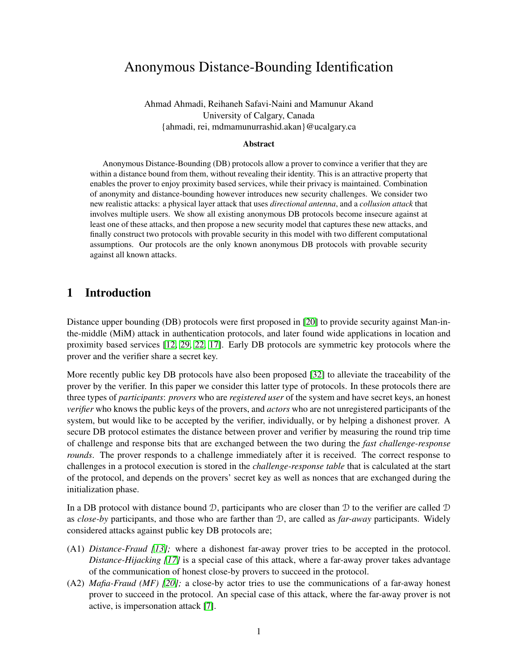# Anonymous Distance-Bounding Identification

Ahmad Ahmadi, Reihaneh Safavi-Naini and Mamunur Akand University of Calgary, Canada {ahmadi, rei, mdmamunurrashid.akan}@ucalgary.ca

#### Abstract

Anonymous Distance-Bounding (DB) protocols allow a prover to convince a verifier that they are within a distance bound from them, without revealing their identity. This is an attractive property that enables the prover to enjoy proximity based services, while their privacy is maintained. Combination of anonymity and distance-bounding however introduces new security challenges. We consider two new realistic attacks: a physical layer attack that uses *directional antenna*, and a *collusion attack* that involves multiple users. We show all existing anonymous DB protocols become insecure against at least one of these attacks, and then propose a new security model that captures these new attacks, and finally construct two protocols with provable security in this model with two different computational assumptions. Our protocols are the only known anonymous DB protocols with provable security against all known attacks.

## <span id="page-0-0"></span>1 Introduction

Distance upper bounding (DB) protocols were first proposed in [\[20\]](#page-39-0) to provide security against Man-inthe-middle (MiM) attack in authentication protocols, and later found wide applications in location and proximity based services [\[12,](#page-39-1) [29,](#page-40-0) [22,](#page-39-2) [17\]](#page-39-3). Early DB protocols are symmetric key protocols where the prover and the verifier share a secret key.

More recently public key DB protocols have also been proposed [\[32\]](#page-40-1) to alleviate the traceability of the prover by the verifier. In this paper we consider this latter type of protocols. In these protocols there are three types of *participants*: *provers* who are *registered user* of the system and have secret keys, an honest *verifier* who knows the public keys of the provers, and *actors* who are not unregistered participants of the system, but would like to be accepted by the verifier, individually, or by helping a dishonest prover. A secure DB protocol estimates the distance between prover and verifier by measuring the round trip time of challenge and response bits that are exchanged between the two during the *fast challenge-response rounds*. The prover responds to a challenge immediately after it is received. The correct response to challenges in a protocol execution is stored in the *challenge-response table* that is calculated at the start of the protocol, and depends on the provers' secret key as well as nonces that are exchanged during the initialization phase.

In a DB protocol with distance bound  $\mathcal{D}$ , participants who are closer than  $\mathcal D$  to the verifier are called  $\mathcal D$ as *close-by* participants, and those who are farther than D, are called as *far-away* participants. Widely considered attacks against public key DB protocols are;

- (A1) *Distance-Fraud [\[13\]](#page-39-4);* where a dishonest far-away prover tries to be accepted in the protocol. *Distance-Hijacking [\[17\]](#page-39-3)* is a special case of this attack, where a far-away prover takes advantage of the communication of honest close-by provers to succeed in the protocol.
- (A2) *Mafia-Fraud (MF) [\[20\]](#page-39-0);* a close-by actor tries to use the communications of a far-away honest prover to succeed in the protocol. An special case of this attack, where the far-away prover is not active, is impersonation attack [\[7\]](#page-39-5).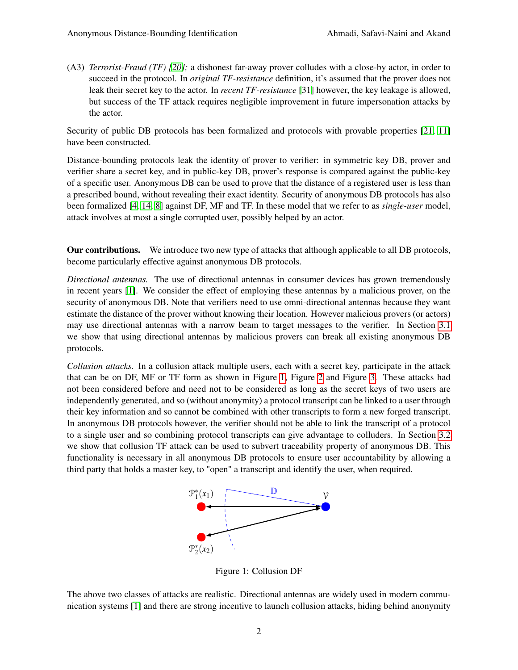<span id="page-1-1"></span>(A3) *Terrorist-Fraud (TF) [\[20\]](#page-39-0);* a dishonest far-away prover colludes with a close-by actor, in order to succeed in the protocol. In *original TF-resistance* definition, it's assumed that the prover does not leak their secret key to the actor. In *recent TF-resistance* [\[31\]](#page-40-2) however, the key leakage is allowed, but success of the TF attack requires negligible improvement in future impersonation attacks by the actor.

Security of public DB protocols has been formalized and protocols with provable properties [\[21,](#page-39-6) [11\]](#page-39-7) have been constructed.

Distance-bounding protocols leak the identity of prover to verifier: in symmetric key DB, prover and verifier share a secret key, and in public-key DB, prover's response is compared against the public-key of a specific user. Anonymous DB can be used to prove that the distance of a registered user is less than a prescribed bound, without revealing their exact identity. Security of anonymous DB protocols has also been formalized [\[4,](#page-39-8) [14,](#page-39-9) [8\]](#page-39-10) against DF, MF and TF. In these model that we refer to as *single-user* model, attack involves at most a single corrupted user, possibly helped by an actor.

Our contributions. We introduce two new type of attacks that although applicable to all DB protocols, become particularly effective against anonymous DB protocols.

*Directional antennas.* The use of directional antennas in consumer devices has grown tremendously in recent years [\[1\]](#page-39-11). We consider the effect of employing these antennas by a malicious prover, on the security of anonymous DB. Note that verifiers need to use omni-directional antennas because they want estimate the distance of the prover without knowing their location. However malicious provers (or actors) may use directional antennas with a narrow beam to target messages to the verifier. In Section [3.1](#page-6-0) we show that using directional antennas by malicious provers can break all existing anonymous DB protocols.

*Collusion attacks.* In a collusion attack multiple users, each with a secret key, participate in the attack that can be on DF, MF or TF form as shown in Figure [1,](#page-1-0) Figure [2](#page-2-0) and Figure [3.](#page-2-1) These attacks had not been considered before and need not to be considered as long as the secret keys of two users are independently generated, and so (without anonymity) a protocol transcript can be linked to a user through their key information and so cannot be combined with other transcripts to form a new forged transcript. In anonymous DB protocols however, the verifier should not be able to link the transcript of a protocol to a single user and so combining protocol transcripts can give advantage to colluders. In Section [3.2](#page-14-0) we show that collusion TF attack can be used to subvert traceability property of anonymous DB. This functionality is necessary in all anonymous DB protocols to ensure user accountability by allowing a third party that holds a master key, to "open" a transcript and identify the user, when required.



Figure 1: Collusion DF

<span id="page-1-0"></span>The above two classes of attacks are realistic. Directional antennas are widely used in modern communication systems [\[1\]](#page-39-11) and there are strong incentive to launch collusion attacks, hiding behind anonymity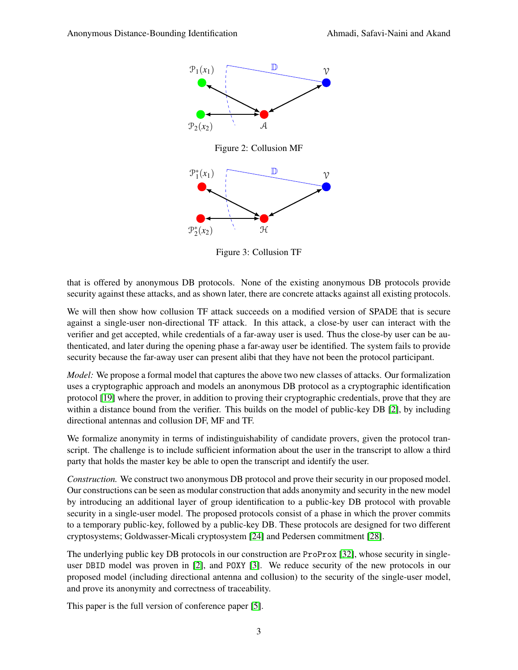<span id="page-2-0"></span>

Figure 3: Collusion TF

<span id="page-2-1"></span>that is offered by anonymous DB protocols. None of the existing anonymous DB protocols provide security against these attacks, and as shown later, there are concrete attacks against all existing protocols.

We will then show how collusion TF attack succeeds on a modified version of SPADE that is secure against a single-user non-directional TF attack. In this attack, a close-by user can interact with the verifier and get accepted, while credentials of a far-away user is used. Thus the close-by user can be authenticated, and later during the opening phase a far-away user be identified. The system fails to provide security because the far-away user can present alibi that they have not been the protocol participant.

*Model:* We propose a formal model that captures the above two new classes of attacks. Our formalization uses a cryptographic approach and models an anonymous DB protocol as a cryptographic identification protocol [\[19\]](#page-39-12) where the prover, in addition to proving their cryptographic credentials, prove that they are within a distance bound from the verifier. This builds on the model of public-key DB [\[2\]](#page-39-13), by including directional antennas and collusion DF, MF and TF.

We formalize anonymity in terms of indistinguishability of candidate provers, given the protocol transcript. The challenge is to include sufficient information about the user in the transcript to allow a third party that holds the master key be able to open the transcript and identify the user.

*Construction.* We construct two anonymous DB protocol and prove their security in our proposed model. Our constructions can be seen as modular construction that adds anonymity and security in the new model by introducing an additional layer of group identification to a public-key DB protocol with provable security in a single-user model. The proposed protocols consist of a phase in which the prover commits to a temporary public-key, followed by a public-key DB. These protocols are designed for two different cryptosystems; Goldwasser-Micali cryptosystem [\[24\]](#page-40-3) and Pedersen commitment [\[28\]](#page-40-4).

The underlying public key DB protocols in our construction are ProProx [\[32\]](#page-40-1), whose security in singleuser DBID model was proven in [\[2\]](#page-39-13), and POXY [\[3\]](#page-39-14). We reduce security of the new protocols in our proposed model (including directional antenna and collusion) to the security of the single-user model, and prove its anonymity and correctness of traceability.

This paper is the full version of conference paper [\[5\]](#page-39-15).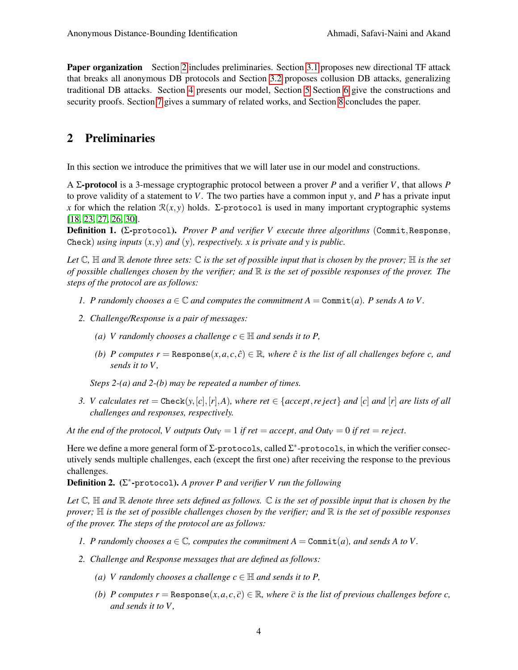**Paper organization** Section [2](#page-3-0) includes preliminaries. Section [3.1](#page-6-0) proposes new directional TF attack that breaks all anonymous DB protocols and Section [3.2](#page-14-0) proposes collusion DB attacks, generalizing traditional DB attacks. Section [4](#page-15-0) presents our model, Section [5](#page-24-0) Section [6](#page-32-0) give the constructions and security proofs. Section [7](#page-38-0) gives a summary of related works, and Section [8](#page-38-1) concludes the paper.

# <span id="page-3-0"></span>2 Preliminaries

In this section we introduce the primitives that we will later use in our model and constructions.

A Σ-protocol is a 3-message cryptographic protocol between a prover *P* and a verifier *V*, that allows *P* to prove validity of a statement to *V*. The two parties have a common input *y*, and *P* has a private input *x* for which the relation  $\mathcal{R}(x, y)$  holds. Σ-protocol is used in many important cryptographic systems [\[18,](#page-39-16) [23,](#page-40-5) [27,](#page-40-6) [26,](#page-40-7) [30\]](#page-40-8).

<span id="page-3-1"></span>Definition 1. (Σ-protocol). *Prover P and verifier V execute three algorithms* (Commit,Response, Check) *using inputs* (*x*, *y*) *and* (*y*)*, respectively. x is private and y is public.*

*Let*  $\mathbb{C}$ ,  $\mathbb{H}$  *and*  $\mathbb{R}$  *denote three sets:*  $\mathbb{C}$  *is the set of possible input that is chosen by the prover;*  $\mathbb{H}$  *is the set of possible challenges chosen by the verifier; and* R *is the set of possible responses of the prover. The steps of the protocol are as follows:*

- *1. P* randomly chooses  $a \in \mathbb{C}$  and computes the commitment  $A = \text{Commit}(a)$ . P sends A to V.
- *2. Challenge/Response is a pair of messages:*
	- *(a) V* randomly chooses a challenge  $c \in \mathbb{H}$  and sends it to P,
	- *(b) P* computes  $r = \text{Response}(x, a, c, \hat{c}) \in \mathbb{R}$ , where  $\hat{c}$  is the list of all challenges before c, and *sends it to V ,*

*Steps 2-(a) and 2-(b) may be repeated a number of times.*

*3. V* calculates ret = Check( $y$ ,[*c*],[*r*],*A*)*,* where ret  $\in$  {accept, reject} and [*c*] and [*r*] are lists of all *challenges and responses, respectively.*

*At the end of the protocol, V outputs*  $Out_V = 1$  *if ret* = *accept, and*  $Out_V = 0$  *if ret* = *re ject.* 

Here we define a more general form of  $\Sigma$ -protocols, called  $\Sigma^*$ -protocols, in which the verifier consecutively sends multiple challenges, each (except the first one) after receiving the response to the previous challenges.

<span id="page-3-2"></span>Definition 2. (Σ ∗ -protocol). *A prover P and verifier V run the following*

*Let*  $\mathbb C$ ,  $\mathbb H$  *and*  $\mathbb R$  *denote three sets defined as follows.*  $\mathbb C$  *is the set of possible input that is chosen by the prover;* H *is the set of possible challenges chosen by the verifier; and* R *is the set of possible responses of the prover. The steps of the protocol are as follows:*

- *1. P* randomly chooses  $a \in \mathbb{C}$ , computes the commitment  $A = \text{Commit}(a)$ , and sends A to V.
- *2. Challenge and Response messages that are defined as follows:*
	- *(a) V* randomly chooses a challenge  $c \in \mathbb{H}$  and sends it to P,
	- *(b) P* computes  $r =$  Response $(x, a, c, \bar{c}) \in \mathbb{R}$ , where  $\bar{c}$  *is the list of previous challenges before c, and sends it to V ,*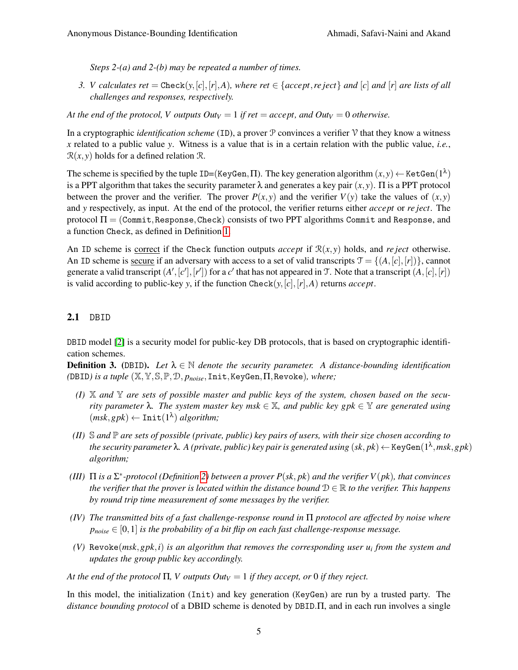*Steps 2-(a) and 2-(b) may be repeated a number of times.*

*3. V* calculates ret = Check( $y$ ,[*c*],[*r*],*A*)*, where ret*  $\in$  {accept,*re* ject} and [*c*] and [*r*] are lists of all *challenges and responses, respectively.*

*At the end of the protocol, V outputs*  $Out_V = 1$  *if ret = accept, and*  $Out_V = 0$  *otherwise.* 

In a cryptographic *identification scheme* (ID), a prover P convinces a verifier V that they know a witness *x* related to a public value *y*. Witness is a value that is in a certain relation with the public value, *i.e.*,  $\mathcal{R}(x, y)$  holds for a defined relation  $\mathcal{R}$ .

The scheme is specified by the tuple ID=(KeyGen,  $\Pi$ ). The key generation algorithm  $(x,y) \leftarrow$  KetGen $(1^\lambda)$ is a PPT algorithm that takes the security parameter  $\lambda$  and generates a key pair  $(x, y)$ .  $\Pi$  is a PPT protocol between the prover and the verifier. The prover  $P(x, y)$  and the verifier  $V(y)$  take the values of  $(x, y)$ and *y* respectively, as input. At the end of the protocol, the verifier returns either *accept* or *re ject*. The protocol  $\Pi = (Commit,Response,Check)$  consists of two PPT algorithms Commit and Response, and a function Check, as defined in Definition [1.](#page-3-1)

An ID scheme is correct if the Check function outputs *accept* if  $\mathcal{R}(x, y)$  holds, and *re ject* otherwise. An ID scheme is secure if an adversary with access to a set of valid transcripts  $\mathcal{T} = \{(A, [c], [r])\}$ , cannot generate a valid transcript  $(A', [c'], [r'])$  for a *c'* that has not appeared in T. Note that a transcript  $(A, [c], [r])$ is valid according to public-key *y*, if the function Check(*y*,[*c*],[*r*],*A*) returns *accept*.

## 2.1 DBID

DBID model [\[2\]](#page-39-13) is a security model for public-key DB protocols, that is based on cryptographic identification schemes.

<span id="page-4-0"></span>**Definition 3.** (DBID). Let  $\lambda \in \mathbb{N}$  denote the security parameter. A distance-bounding identification *(*DBID*) is a tuple* (X,Y,S,P,D, *pnoise*,Init,KeyGen,Π,Revoke)*, where;*

- *(I)* X *and* Y *are sets of possible master and public keys of the system, chosen based on the security parameter*  $\lambda$ . The system master key msk  $\in \mathbb{X}$ , and public key gpk  $\in \mathbb{Y}$  are generated using  $(msk, gpk) \leftarrow \text{Init}(1^{\lambda})$  *algorithm*;
- $(II)$  S and  $\mathbb P$  are sets of possible (private, public) key pairs of users, with their size chosen according to the security parameter  $\lambda$ . A (private, public) key pair is generated using  $(sk, pk)$   $\leftarrow$  K $\mathtt{eygen}(1^\lambda, msk, gpk)$ *algorithm;*
- *(III)* Π *is a* Σ ∗ *-protocol (Definition [2\)](#page-3-2) between a prover P*(*sk*, *pk*) *and the verifier V*(*pk*)*, that convinces the verifier that the prover is located within the distance bound*  $D \in \mathbb{R}$  *to the verifier. This happens by round trip time measurement of some messages by the verifier.*
- *(IV) The transmitted bits of a fast challenge-response round in* Π *protocol are affected by noise where*  $p_{noise} \in [0,1]$  *is the probability of a bit flip on each fast challenge-response message.*
- *(V)* Revoke(*msk*,*gpk*,*i*) *is an algorithm that removes the corresponding user u<sup>i</sup> from the system and updates the group public key accordingly.*

*At the end of the protocol*  $\Pi$ , *V outputs Out*<sub>*V*</sub> = 1 *if they accept, or* 0 *if they reject.* 

In this model, the initialization (Init) and key generation (KeyGen) are run by a trusted party. The *distance bounding protocol* of a DBID scheme is denoted by DBID.Π, and in each run involves a single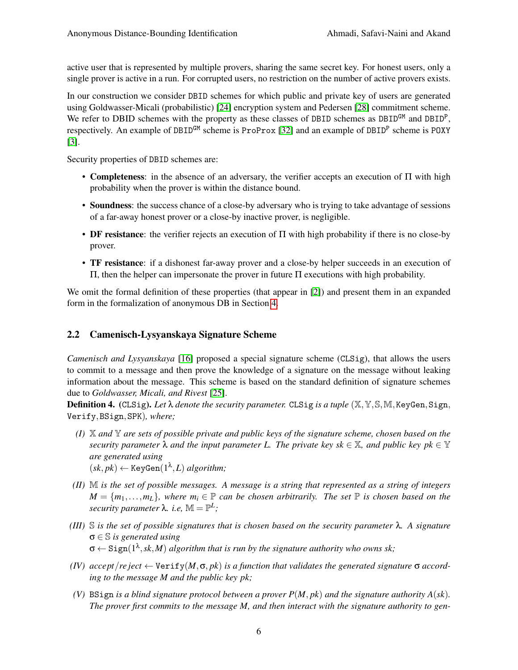active user that is represented by multiple provers, sharing the same secret key. For honest users, only a single prover is active in a run. For corrupted users, no restriction on the number of active provers exists.

In our construction we consider DBID schemes for which public and private key of users are generated using Goldwasser-Micali (probabilistic) [\[24\]](#page-40-3) encryption system and Pedersen [\[28\]](#page-40-4) commitment scheme. We refer to DBID schemes with the property as these classes of DBID schemes as  $DBID<sup>GM</sup>$  and  $DBID<sup>P</sup>$ , respectively. An example of DBID<sup>GM</sup> scheme is ProProx [\[32\]](#page-40-1) and an example of DBID<sup>P</sup> scheme is POXY [\[3\]](#page-39-14).

Security properties of DBID schemes are:

- Completeness: in the absence of an adversary, the verifier accepts an execution of Π with high probability when the prover is within the distance bound.
- Soundness: the success chance of a close-by adversary who is trying to take advantage of sessions of a far-away honest prover or a close-by inactive prover, is negligible.
- DF resistance: the verifier rejects an execution of Π with high probability if there is no close-by prover.
- TF resistance: if a dishonest far-away prover and a close-by helper succeeds in an execution of Π, then the helper can impersonate the prover in future Π executions with high probability.

We omit the formal definition of these properties (that appear in [\[2\]](#page-39-13)) and present them in an expanded form in the formalization of anonymous DB in Section [4.](#page-15-0)

## <span id="page-5-0"></span>2.2 Camenisch-Lysyanskaya Signature Scheme

*Camenisch and Lysyanskaya* [\[16\]](#page-39-17) proposed a special signature scheme (CLSig), that allows the users to commit to a message and then prove the knowledge of a signature on the message without leaking information about the message. This scheme is based on the standard definition of signature schemes due to *Goldwasser, Micali, and Rivest* [\[25\]](#page-40-9).

<span id="page-5-1"></span>Definition 4. (CLSig). *Let* λ *denote the security parameter.* CLSig *is a tuple* (X,Y,S,M,KeyGen,Sign, Verify,BSign,SPK)*, where;*

- *(I)* X *and* Y *are sets of possible private and public keys of the signature scheme, chosen based on the security parameter*  $\lambda$  *and the input parameter L. The private key sk*  $\in \mathbb{X}$ *, and public key pk*  $\in \mathbb{Y}$ *are generated using*
- $(sk, pk) \leftarrow \text{KeyGen}(1^{\lambda}, L)$  *algorithm*;
- *(II)* M *is the set of possible messages. A message is a string that represented as a string of integers*  $M = \{m_1, \ldots, m_L\}$ , where  $m_i \in \mathbb{P}$  *can be chosen arbitrarily. The set*  $\mathbb{P}$  *is chosen based on the security parameter*  $\lambda$ *. i.e,*  $\mathbb{M} = \mathbb{P}^L$ ;
- *(III)* S *is the set of possible signatures that is chosen based on the security parameter* λ*. A signature* σ ∈ S *is generated using*  $\sigma \leftarrow$  Sign $(1^{\lambda}, sk, M)$  *algorithm that is run by the signature authority who owns sk*;
- *(IV) accept*/*re ject* ← Verify(*M*,σ, *pk*) *is a function that validates the generated signature* σ *according to the message M and the public key pk;*
- *(V)* BSign *is a blind signature protocol between a prover*  $P(M, pk)$  *and the signature authority*  $A(sk)$ *. The prover first commits to the message M, and then interact with the signature authority to gen-*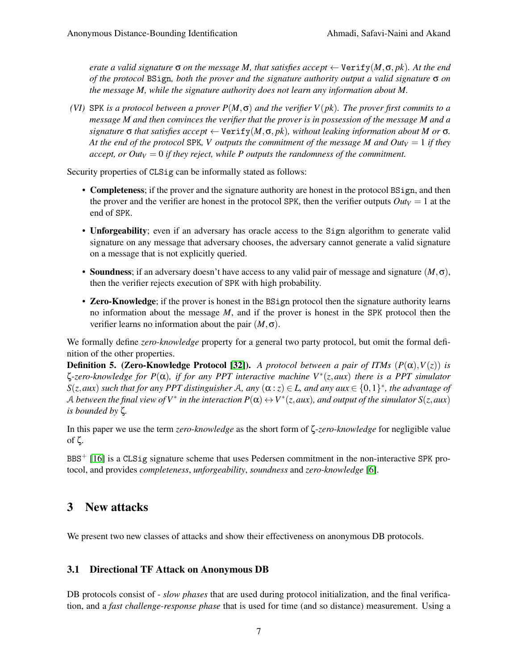*erate a valid signature*  $\sigma$  *on the message M, that satisfies accept*  $\leftarrow$  Verify $(M, \sigma, pk)$ *. At the end of the protocol* BSign*, both the prover and the signature authority output a valid signature* σ *on the message M, while the signature authority does not learn any information about M.*

*(VI)* SPK *is a protocol between a prover P*(*M*,σ) *and the verifier V*(*pk*)*. The prover first commits to a message M and then convinces the verifier that the prover is in possession of the message M and a*  $s$ *ignature*  $\sigma$  *that satisfies accept*  $\leftarrow$  Verify $(M, \sigma, pk)$ *, without leaking information about M or*  $\sigma$ *. At the end of the protocol SPK, V outputs the commitment of the message M and Out* $V = 1$  *if they accept, or Out* $V = 0$  *if they reject, while P outputs the randomness of the commitment.* 

Security properties of CLSig can be informally stated as follows:

- Completeness; if the prover and the signature authority are honest in the protocol BSign, and then the prover and the verifier are honest in the protocol SPK, then the verifier outputs  $Out_V = 1$  at the end of SPK.
- Unforgeability; even if an adversary has oracle access to the Sign algorithm to generate valid signature on any message that adversary chooses, the adversary cannot generate a valid signature on a message that is not explicitly queried.
- Soundness; if an adversary doesn't have access to any valid pair of message and signature (*M*,σ), then the verifier rejects execution of SPK with high probability.
- Zero-Knowledge; if the prover is honest in the BSign protocol then the signature authority learns no information about the message *M*, and if the prover is honest in the SPK protocol then the verifier learns no information about the pair  $(M, \sigma)$ .

We formally define *zero-knowledge* property for a general two party protocol, but omit the formal definition of the other properties.

**Definition 5. (Zero-Knowledge Protocol [\[32\]](#page-40-1)).** *A protocol between a pair of ITMs*  $(P(\alpha), V(z))$  *is* ζ*-zero-knowledge for P*(α)*, if for any PPT interactive machine V*<sup>∗</sup> (*z*,*aux*) *there is a PPT simulator*  $S(z, aux)$  *such that for any PPT distinguisher* A, any  $(\alpha : z) \in L$ , and any aux  $\in \{0,1\}^*$ , the advantage of A between the final view of  $V^*$  in the interaction  $P(\alpha)\leftrightarrow V^*(z, aux)$ , and output of the simulator  $S(z, aux)$ *is bounded by* ζ*.*

In this paper we use the term *zero-knowledge* as the short form of ζ-*zero-knowledge* for negligible value of ζ.

BBS<sup>+</sup> [\[16\]](#page-39-17) is a CLSig signature scheme that uses Pedersen commitment in the non-interactive SPK protocol, and provides *completeness*, *unforgeability*, *soundness* and *zero-knowledge* [\[6\]](#page-39-18).

# 3 New attacks

We present two new classes of attacks and show their effectiveness on anonymous DB protocols.

## <span id="page-6-0"></span>3.1 Directional TF Attack on Anonymous DB

DB protocols consist of - *slow phases* that are used during protocol initialization, and the final verification, and a *fast challenge-response phase* that is used for time (and so distance) measurement. Using a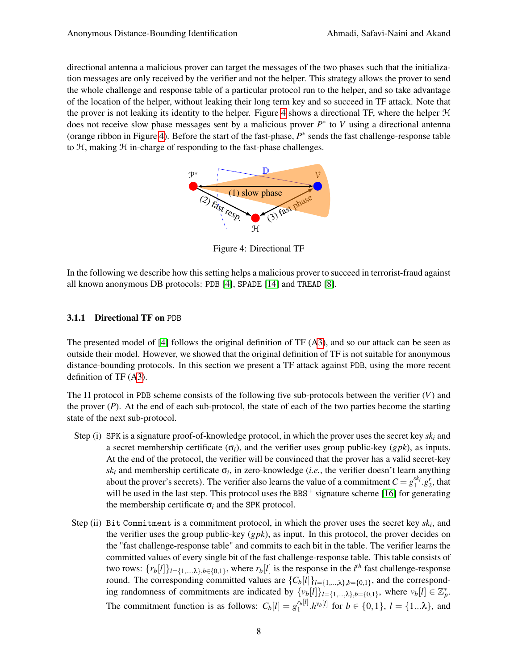<span id="page-7-0"></span>directional antenna a malicious prover can target the messages of the two phases such that the initialization messages are only received by the verifier and not the helper. This strategy allows the prover to send the whole challenge and response table of a particular protocol run to the helper, and so take advantage of the location of the helper, without leaking their long term key and so succeed in TF attack. Note that the prover is not leaking its identity to the helper. Figure [4](#page-7-0) shows a directional TF, where the helper  $H$ does not receive slow phase messages sent by a malicious prover *P* ∗ to *V* using a directional antenna (orange ribbon in Figure [4\)](#page-7-0). Before the start of the fast-phase,  $P^*$  sends the fast challenge-response table to  $H$ , making  $H$  in-charge of responding to the fast-phase challenges.



Figure 4: Directional TF

In the following we describe how this setting helps a malicious prover to succeed in terrorist-fraud against all known anonymous DB protocols: PDB [\[4\]](#page-39-8), SPADE [\[14\]](#page-39-9) and TREAD [\[8\]](#page-39-10).

### 3.1.1 Directional TF on PDB

The presented model of [\[4\]](#page-39-8) follows the original definition of TF ([A3\)](#page-1-1), and so our attack can be seen as outside their model. However, we showed that the original definition of TF is not suitable for anonymous distance-bounding protocols. In this section we present a TF attack against PDB, using the more recent definition of TF ([A3\)](#page-1-1).

The Π protocol in PDB scheme consists of the following five sub-protocols between the verifier (*V*) and the prover (*P*). At the end of each sub-protocol, the state of each of the two parties become the starting state of the next sub-protocol.

- Step (i) SPK is a signature proof-of-knowledge protocol, in which the prover uses the secret key *sk<sup>i</sup>* and a secret membership certificate  $(\sigma_i)$ , and the verifier uses group public-key (*gpk*), as inputs. At the end of the protocol, the verifier will be convinced that the prover has a valid secret-key  $sk_i$  and membership certificate  $\sigma_i$ , in zero-knowledge (*i.e.*, the verifier doesn't learn anything about the prover's secrets). The verifier also learns the value of a commitment  $C = g_1^{sk_i} \cdot g_2^r$ , that will be used in the last step. This protocol uses the BBS<sup> $+$ </sup> signature scheme [\[16\]](#page-39-17) for generating the membership certificate  $\sigma_i$  and the SPK protocol.
- Step (ii) Bit Commitment is a commitment protocol, in which the prover uses the secret key *sk<sup>i</sup>* , and the verifier uses the group public-key (*gpk*), as input. In this protocol, the prover decides on the "fast challenge-response table" and commits to each bit in the table. The verifier learns the committed values of every single bit of the fast challenge-response table. This table consists of two rows:  $\{r_b[l]\}_{l=\{1,\dots,\lambda\}, b \in \{0,1\}}$ , where  $r_b[l]$  is the response in the *i*<sup>th</sup> fast challenge-response round. The corresponding committed values are  $\{C_b[l]\}_{l=\{1,\ldots,\lambda\},b=\{0,1\}}$ , and the corresponding randomness of commitments are indicated by  $\{v_b[l]\}_{l=\{1,\ldots,\lambda\},b=\{0,1\}}$ , where  $v_b[l] \in \mathbb{Z}_p^*$ . The commitment function is as follows:  $C_b[l] = g_1^{r_b[l]}$  $\int_1^{r_b[l]} h^{v_b[l]}$  for  $b \in \{0,1\}$ ,  $l = \{1...\lambda\}$ , and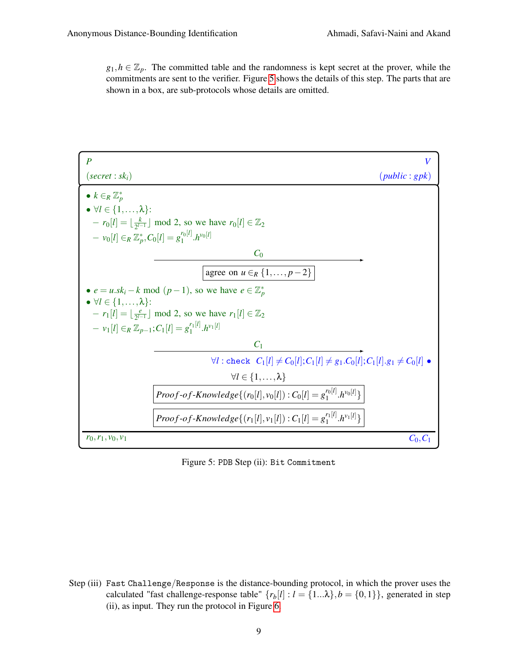$g_1, h \in \mathbb{Z}_p$ . The committed table and the randomness is kept secret at the prover, while the commitments are sent to the verifier. Figure [5](#page-8-0) shows the details of this step. The parts that are shown in a box, are sub-protocols whose details are omitted.

<span id="page-8-0"></span>

Figure 5: PDB Step (ii): Bit Commitment

Step (iii) Fast Challenge/Response is the distance-bounding protocol, in which the prover uses the calculated "fast challenge-response table"  $\{r_b[l] : l = \{1...\lambda\}, b = \{0,1\}\}\$ , generated in step (ii), as input. They run the protocol in Figure [6.](#page-9-0)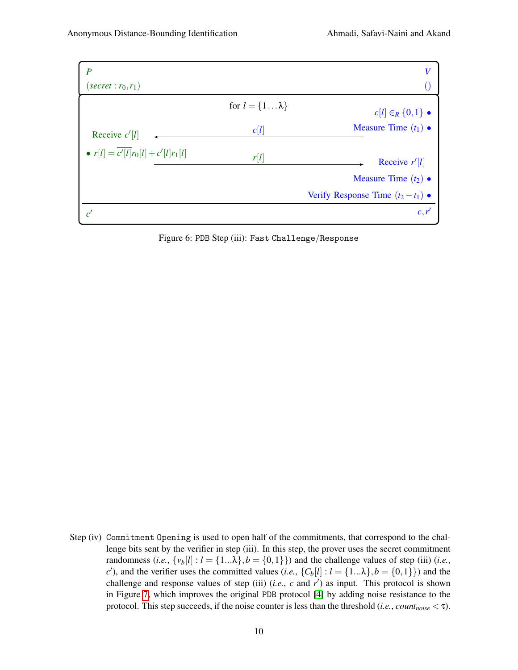<span id="page-9-0"></span>

Figure 6: PDB Step (iii): Fast Challenge/Response

Step (iv) Commitment Opening is used to open half of the commitments, that correspond to the challenge bits sent by the verifier in step (iii). In this step, the prover uses the secret commitment randomness (*i.e.*,  $\{v_b[l]: l = \{1...\lambda\}, b = \{0,1\}\}\)$  and the challenge values of step (iii) (*i.e.*, *c*<sup> $\prime$ </sup>), and the verifier uses the committed values (*i.e.*,  $\{C_b[l] : l = \{1...\lambda\}, b = \{0,1\}\}\)$  and the challenge and response values of step (iii)  $(i.e., c \text{ and } r')$  as input. This protocol is shown in Figure [7,](#page-10-0) which improves the original PDB protocol [\[4\]](#page-39-8) by adding noise resistance to the protocol. This step succeeds, if the noise counter is less than the threshold (*i.e.*, *countnoise* < τ).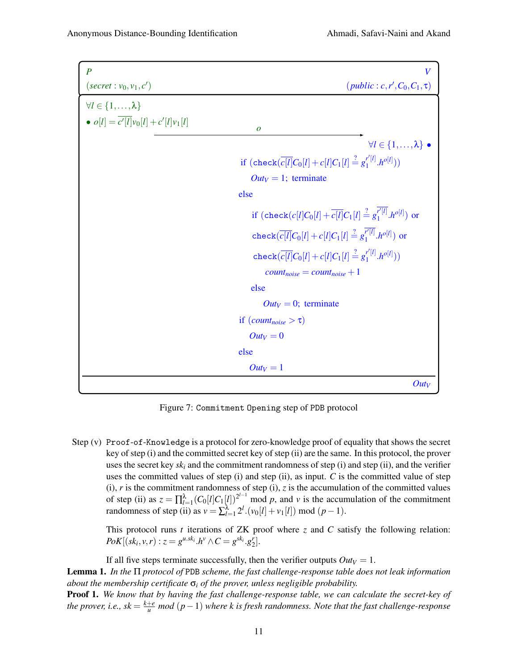<span id="page-10-0"></span>

| $\overline{P}$                                  | V                                                                                                      |
|-------------------------------------------------|--------------------------------------------------------------------------------------------------------|
| $(\text{secret}: v_0, v_1, c')$                 | $(public : c, r', C_0, C_1, \tau)$                                                                     |
| $\forall l \in \{1,\ldots,\lambda\}$            |                                                                                                        |
| • $o[l] = \overline{c'[l]}v_0[l] + c'[l]v_1[l]$ | $\boldsymbol{o}$                                                                                       |
|                                                 | $\forall l \in \{1, \ldots, \lambda\}$ .                                                               |
|                                                 | if $(\text{check}(\overline{c[l]}C_0[l]+c[l]C_1[l]\stackrel{?}{=}g_1^{r'[l]}h^{o[l]}))$                |
|                                                 | $Out_V = 1$ ; terminate                                                                                |
|                                                 | else                                                                                                   |
|                                                 | if $(\text{check}(c[l]C_0[l]+\overline{c[l]}C_1[l]\stackrel{?}{=} g_1^{\overline{r'[l]}}.h^{o[l]})$ or |
|                                                 | check $\left(\frac{\overline{c}[l]}{C_0[l]}+c[l]C_1[l]\right)\frac{?}{=}g_1^{r'[l]}h^{o[l]}\right)$ or |
|                                                 | check $(\overline{c[l]}C_0[l]+ c[l]C_1[l] \stackrel{?}{=} g_1^{r'[l]}h^{o[l]}))$                       |
|                                                 | $count_{noise} = count_{noise} + 1$                                                                    |
|                                                 | else                                                                                                   |
|                                                 | $Out_V = 0$ ; terminate                                                                                |
|                                                 | if $(count_{noise} > \tau)$                                                                            |
|                                                 | $Out_V = 0$                                                                                            |
|                                                 | else                                                                                                   |
|                                                 | $Out_V = 1$                                                                                            |
|                                                 | $Out_V$                                                                                                |

Figure 7: Commitment Opening step of PDB protocol

Step (v) Proof-of-Knowledge is a protocol for zero-knowledge proof of equality that shows the secret key of step (i) and the committed secret key of step (ii) are the same. In this protocol, the prover uses the secret key *sk<sup>i</sup>* and the commitment randomness of step (i) and step (ii), and the verifier uses the committed values of step  $(i)$  and step  $(ii)$ , as input. *C* is the committed value of step (i),  $r$  is the commitment randomness of step (i),  $z$  is the accumulation of the committed values of step (ii) as  $z = \prod_{l=1}^{\lambda} (C_0[l]C_1[l])^{2^{l-1}}$  mod *p*, and *v* is the accumulation of the commitment randomness of step (ii) as  $v = \sum_{l=1}^{\lambda} 2^l \cdot (v_0[l] + v_1[l]) \text{ mod } (p-1)$ .

This protocol runs *t* iterations of ZK proof where *z* and *C* satisfy the following relation: *PoK*[ $(k_i, v, r)$  :  $z = g^{u.sk_i} \cdot h^v \wedge C = g^{sk_i} \cdot g_2^r$ ].

<span id="page-10-1"></span>If all five steps terminate successfully, then the verifier outputs  $Out_V = 1$ . Lemma 1. *In the* Π *protocol of* PDB *scheme, the fast challenge-response table does not leak information about the membership certificate* σ*<sup>i</sup> of the prover, unless negligible probability.* Proof 1. *We know that by having the fast challenge-response table, we can calculate the secret-key of the prover, i.e., sk* =  $\frac{k+e}{u}$  mod  $(p-1)$  where k is fresh randomness. Note that the fast challenge-response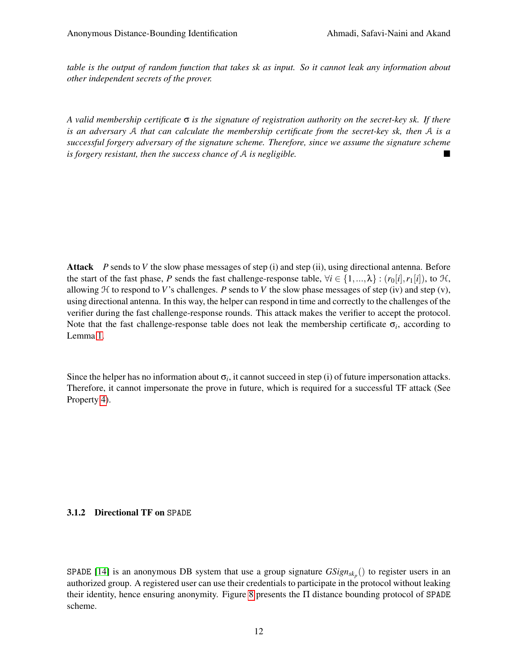*table is the output of random function that takes sk as input. So it cannot leak any information about other independent secrets of the prover.*

*A valid membership certificate* σ *is the signature of registration authority on the secret-key sk. If there is an adversary* A *that can calculate the membership certificate from the secret-key sk, then* A *is a successful forgery adversary of the signature scheme. Therefore, since we assume the signature scheme is forgery resistant, then the success chance of* A *is negligible.*

Attack *P* sends to *V* the slow phase messages of step (i) and step (ii), using directional antenna. Before the start of the fast phase, *P* sends the fast challenge-response table,  $\forall i \in \{1, ..., \lambda\} : (r_0[i], r_1[i])$ , to  $H$ , allowing  $H$  to respond to *V*'s challenges. *P* sends to *V* the slow phase messages of step (iv) and step (v), using directional antenna. In this way, the helper can respond in time and correctly to the challenges of the verifier during the fast challenge-response rounds. This attack makes the verifier to accept the protocol. Note that the fast challenge-response table does not leak the membership certificate  $\sigma_i$ , according to Lemma [1.](#page-10-1)

Since the helper has no information about  $\sigma_i$ , it cannot succeed in step (i) of future impersonation attacks. Therefore, it cannot impersonate the prove in future, which is required for a successful TF attack (See Property [4\)](#page-22-0).

## 3.1.2 Directional TF on SPADE

SPADE [\[14\]](#page-39-9) is an anonymous DB system that use a group signature  $GSign_{sk_p}()$  to register users in an authorized group. A registered user can use their credentials to participate in the protocol without leaking their identity, hence ensuring anonymity. Figure [8](#page-12-0) presents the Π distance bounding protocol of SPADE scheme.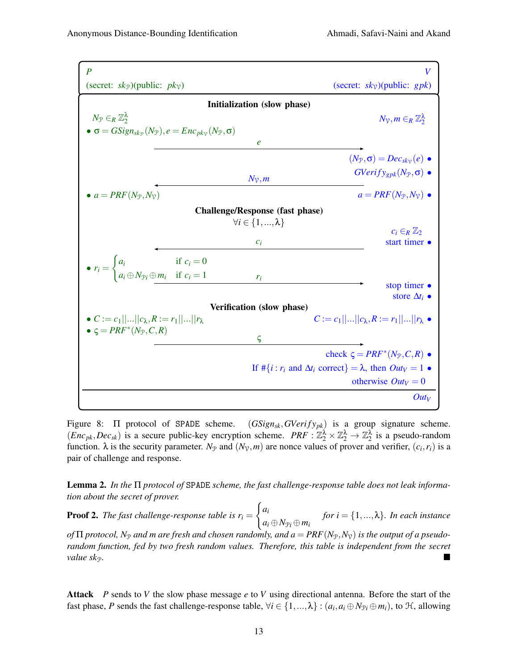<span id="page-12-0"></span>

Figure 8:  $\Pi$  protocol of SPADE scheme.  $(GSign_{sk}, GVerify_{pk})$  is a group signature scheme.  $(Enc_{pk}, Dec_{sk})$  is a secure public-key encryption scheme.  $PRF : \mathbb{Z}_2^{\lambda} \times \mathbb{Z}_2^{\lambda} \to \mathbb{Z}_2^{\lambda}$  is a pseudo-random function.  $\lambda$  is the security parameter.  $N_{\mathcal{P}}$  and  $(N_{\mathcal{V}},m)$  are nonce values of prover and verifier,  $(c_i, r_i)$  is a pair of challenge and response.

<span id="page-12-1"></span>Lemma 2. *In the* Π *protocol of* SPADE *scheme, the fast challenge-response table does not leak information about the secret of prover.*

**Proof 2.** *The fast challenge-response table is*  $r_i =$  $\int a_i$  $a_i \oplus N_{\mathcal{P}i} \oplus m_i$ *for i* = {1,...,λ}*. In each instance of*  $\Pi$  *protocol,*  $N_{\mathcal{P}}$  *and m* are fresh and chosen randomly, and  $a = PRF(N_{\mathcal{P}}, N_{\mathcal{V}})$  *is the output of a pseudorandom function, fed by two fresh random values. Therefore, this table is independent from the secret value sk<sub>P</sub>.* 

Attack *P* sends to *V* the slow phase message *e* to *V* using directional antenna. Before the start of the fast phase, *P* sends the fast challenge-response table,  $\forall i \in \{1,...,\lambda\} : (a_i, a_i \oplus N_{\mathcal{P}i} \oplus m_i)$ , to  $\mathcal{H}$ , allowing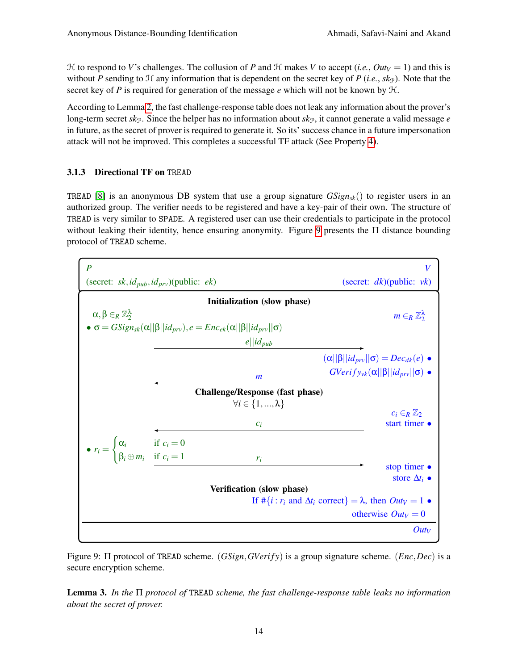$H$  to respond to *V*'s challenges. The collusion of *P* and  $H$  makes *V* to accept (*i.e.*, *Out*<sub>*V*</sub> = 1) and this is without *P* sending to  $H$  any information that is dependent on the secret key of *P* (*i.e.*, *sk*<sub>P</sub>). Note that the secret key of *P* is required for generation of the message *e* which will not be known by  $H$ .

According to Lemma [2,](#page-12-1) the fast challenge-response table does not leak any information about the prover's long-term secret  $sk_p$ . Since the helper has no information about  $sk_p$ , it cannot generate a valid message  $e$ in future, as the secret of prover is required to generate it. So its' success chance in a future impersonation attack will not be improved. This completes a successful TF attack (See Property [4\)](#page-22-0).

### 3.1.3 Directional TF on TREAD

TREAD [\[8\]](#page-39-10) is an anonymous DB system that use a group signature  $GSign_{sk}()$  to register users in an authorized group. The verifier needs to be registered and have a key-pair of their own. The structure of TREAD is very similar to SPADE. A registered user can use their credentials to participate in the protocol without leaking their identity, hence ensuring anonymity. Figure [9](#page-13-0) presents the  $\Pi$  distance bounding protocol of TREAD scheme.

<span id="page-13-0"></span>

Figure 9: Π protocol of TREAD scheme. (*GSign*,*GVeri f y*) is a group signature scheme. (*Enc*,*Dec*) is a secure encryption scheme.

<span id="page-13-1"></span>Lemma 3. *In the* Π *protocol of* TREAD *scheme, the fast challenge-response table leaks no information about the secret of prover.*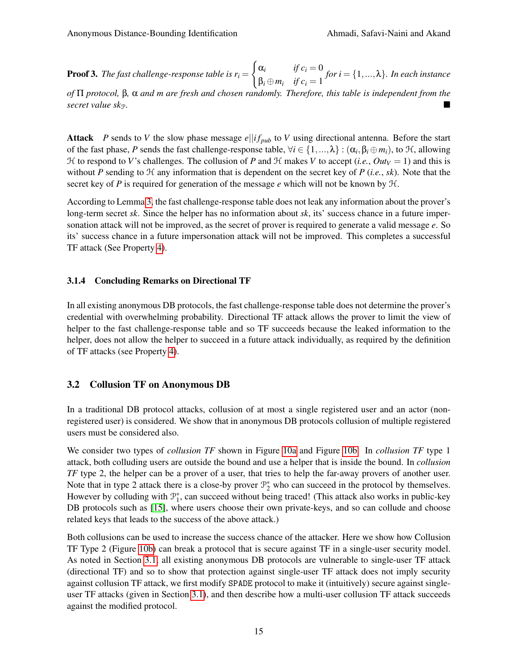**Proof 3.** The fast challenge-response table is  $r_i =$  $\int \alpha_i$  *if*  $c_i = 0$  $\beta_i \oplus m_i$  *if*  $c_i = 1$ *for i* = {1,...,λ}*. In each instance*

*of* Π *protocol,* β*,* α *and m are fresh and chosen randomly. Therefore, this table is independent from the secret value sk*P*.*

Attack *P* sends to *V* the slow phase message  $e||if_{pub}$  to *V* using directional antenna. Before the start of the fast phase, *P* sends the fast challenge-response table,  $\forall i \in \{1,...,\lambda\} : (\alpha_i, \beta_i \oplus m_i)$ , to  $\mathcal{H}$ , allowing  $H$  to respond to *V*'s challenges. The collusion of *P* and  $H$  makes *V* to accept (*i.e.*, *Out*<sub>*V*</sub> = 1) and this is without *P* sending to  $H$  any information that is dependent on the secret key of *P* (*i.e.*, *sk*). Note that the secret key of *P* is required for generation of the message *e* which will not be known by H.

According to Lemma [3,](#page-13-1) the fast challenge-response table does not leak any information about the prover's long-term secret *sk*. Since the helper has no information about *sk*, its' success chance in a future impersonation attack will not be improved, as the secret of prover is required to generate a valid message *e*. So its' success chance in a future impersonation attack will not be improved. This completes a successful TF attack (See Property [4\)](#page-22-0).

#### 3.1.4 Concluding Remarks on Directional TF

In all existing anonymous DB protocols, the fast challenge-response table does not determine the prover's credential with overwhelming probability. Directional TF attack allows the prover to limit the view of helper to the fast challenge-response table and so TF succeeds because the leaked information to the helper, does not allow the helper to succeed in a future attack individually, as required by the definition of TF attacks (see Property [4\)](#page-22-0).

#### <span id="page-14-0"></span>3.2 Collusion TF on Anonymous DB

In a traditional DB protocol attacks, collusion of at most a single registered user and an actor (nonregistered user) is considered. We show that in anonymous DB protocols collusion of multiple registered users must be considered also.

We consider two types of *collusion TF* shown in Figure [10a](#page-15-1) and Figure [10b.](#page-15-1) In *collusion TF* type 1 attack, both colluding users are outside the bound and use a helper that is inside the bound. In *collusion TF* type 2, the helper can be a prover of a user, that tries to help the far-away provers of another user. Note that in type 2 attack there is a close-by prover  $\mathcal{P}_2^*$  who can succeed in the protocol by themselves. However by colluding with  $\mathcal{P}_1^*$ , can succeed without being traced! (This attack also works in public-key DB protocols such as [\[15\]](#page-39-19), where users choose their own private-keys, and so can collude and choose related keys that leads to the success of the above attack.)

Both collusions can be used to increase the success chance of the attacker. Here we show how Collusion TF Type 2 (Figure [10b\)](#page-15-1) can break a protocol that is secure against TF in a single-user security model. As noted in Section [3.1,](#page-6-0) all existing anonymous DB protocols are vulnerable to single-user TF attack (directional TF) and so to show that protection against single-user TF attack does not imply security against collusion TF attack, we first modify SPADE protocol to make it (intuitively) secure against singleuser TF attacks (given in Section [3.1\)](#page-6-0), and then describe how a multi-user collusion TF attack succeeds against the modified protocol.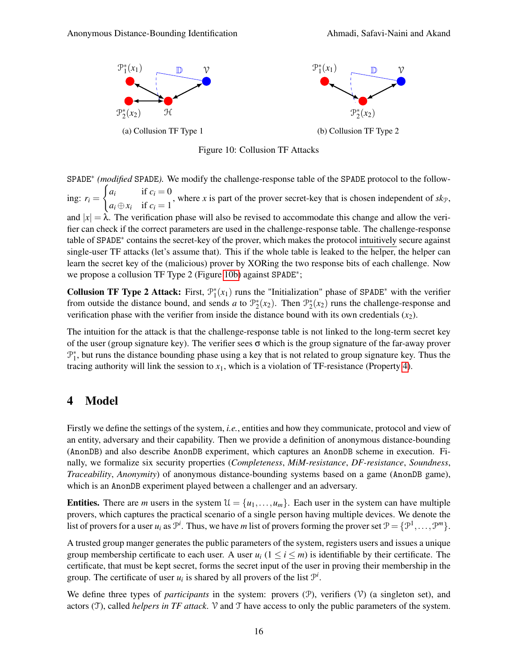<span id="page-15-1"></span>

Figure 10: Collusion TF Attacks

SPADE<sup>∗</sup> *(modified* SPADE*).* We modify the challenge-response table of the SPADE protocol to the following:  $r_i =$  $\int a_i$  if  $c_i = 0$  $a_i \oplus x_i$  if  $c_i = 1$ , where  $x$  is part of the prover secret-key that is chosen independent of  $sk_{\mathcal{P}}$ , and  $|x| = \lambda$ . The verification phase will also be revised to accommodate this change and allow the verifier can check if the correct parameters are used in the challenge-response table. The challenge-response table of SPADE<sup>∗</sup> contains the secret-key of the prover, which makes the protocol intuitively secure against single-user TF attacks (let's assume that). This if the whole table is leaked to the helper, the helper can learn the secret key of the (malicious) prover by XORing the two response bits of each challenge. Now we propose a collusion TF Type 2 (Figure [10b\)](#page-15-1) against SPADE<sup>\*</sup>;

**Collusion TF Type 2 Attack:** First,  $\mathcal{P}_1^*(x_1)$  runs the "Initialization" phase of SPADE<sup>\*</sup> with the verifier from outside the distance bound, and sends *a* to  $\mathcal{P}_2^*(x_2)$ . Then  $\mathcal{P}_2^*(x_2)$  runs the challenge-response and verification phase with the verifier from inside the distance bound with its own credentials  $(x_2)$ .

The intuition for the attack is that the challenge-response table is not linked to the long-term secret key of the user (group signature key). The verifier sees  $\sigma$  which is the group signature of the far-away prover  $\mathcal{P}_1^*$ , but runs the distance bounding phase using a key that is not related to group signature key. Thus the tracing authority will link the session to  $x_1$ , which is a violation of TF-resistance (Property [4\)](#page-22-0).

# <span id="page-15-0"></span>4 Model

Firstly we define the settings of the system, *i.e.*, entities and how they communicate, protocol and view of an entity, adversary and their capability. Then we provide a definition of anonymous distance-bounding (AnonDB) and also describe AnonDB experiment, which captures an AnonDB scheme in execution. Finally, we formalize six security properties (*Completeness*, *MiM-resistance*, *DF-resistance*, *Soundness*, *Traceability*, *Anonymity*) of anonymous distance-bounding systems based on a game (AnonDB game), which is an AnonDB experiment played between a challenger and an adversary.

**Entities.** There are *m* users in the system  $\mathcal{U} = \{u_1, \ldots, u_m\}$ . Each user in the system can have multiple provers, which captures the practical scenario of a single person having multiple devices. We denote the list of provers for a user  $u_i$  as  $\mathcal{P}^i$ . Thus, we have *m* list of provers forming the prover set  $\mathcal{P} = \{\mathcal{P}^1, \ldots, \mathcal{P}^m\}$ .

A trusted group manger generates the public parameters of the system, registers users and issues a unique group membership certificate to each user. A user  $u_i$  ( $1 \le i \le m$ ) is identifiable by their certificate. The certificate, that must be kept secret, forms the secret input of the user in proving their membership in the group. The certificate of user  $u_i$  is shared by all provers of the list  $\mathcal{P}^i$ .

We define three types of *participants* in the system: provers  $(\mathcal{P})$ , verifiers  $(\mathcal{V})$  (a singleton set), and actors  $(\mathcal{T})$ , called *helpers in TF attack*.  $\mathcal V$  and  $\mathcal T$  have access to only the public parameters of the system.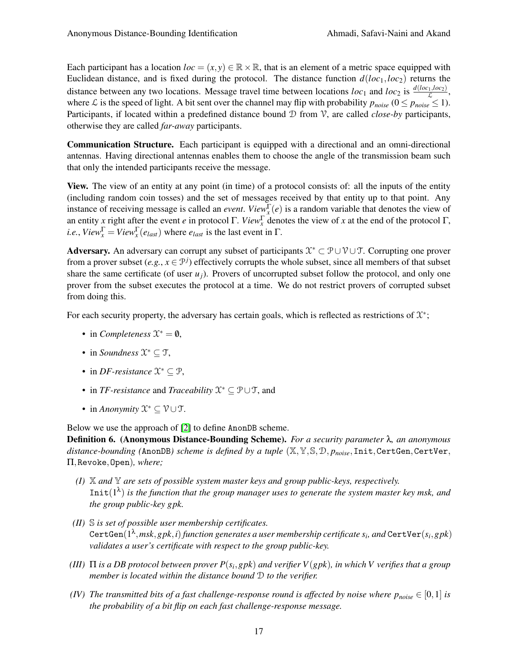Each participant has a location  $loc = (x, y) \in \mathbb{R} \times \mathbb{R}$ , that is an element of a metric space equipped with Euclidean distance, and is fixed during the protocol. The distance function  $d(loc_1, loc_2)$  returns the distance between any two locations. Message travel time between locations  $loc_1$  and  $loc_2$  is  $\frac{d(loc_1,loc_2)}{\mathcal{L}}$ , where L is the speed of light. A bit sent over the channel may flip with probability  $p_{noise}$  ( $0 \le p_{noise} \le 1$ ). Participants, if located within a predefined distance bound D from V, are called *close-by* participants, otherwise they are called *far-away* participants.

Communication Structure. Each participant is equipped with a directional and an omni-directional antennas. Having directional antennas enables them to choose the angle of the transmission beam such that only the intended participants receive the message.

View. The view of an entity at any point (in time) of a protocol consists of: all the inputs of the entity (including random coin tosses) and the set of messages received by that entity up to that point. Any instance of receiving message is called an *event*. *View*<sub> $x$ </sub><sup> $\Gamma$ </sup>(*e*) is a random variable that denotes the view of an entity *x* right after the event *e* in protocol Γ. *View*<sup>Γ</sup> denotes the view of *x* at the end of the protocol Γ, *i.e.*, *View*<sub> $x$ </sub><sup> $\Gamma$ </sup> = *View*<sub>x</sub><sup> $\Gamma$ </sup>(*e*<sub>*last*</sub>) where *e*<sub>*last*</sub> is the last event in  $\Gamma$ .

Adversary. An adversary can corrupt any subset of participants  $\mathcal{X}^* \subset \mathcal{P} \cup \mathcal{V} \cup \mathcal{T}$ . Corrupting one prover from a prover subset  $(e.g., x \in \mathcal{P}^j)$  effectively corrupts the whole subset, since all members of that subset share the same certificate (of user  $u_j$ ). Provers of uncorrupted subset follow the protocol, and only one prover from the subset executes the protocol at a time. We do not restrict provers of corrupted subset from doing this.

For each security property, the adversary has certain goals, which is reflected as restrictions of  $\mathfrak{X}^*$ ;

- in *Completeness*  $\mathfrak{X}^* = \mathfrak{0}$ ,
- in *Soundness*  $\mathfrak{X}^* \subseteq \mathfrak{T}$ ,
- in *DF-resistance*  $\mathfrak{X}^* \subseteq \mathfrak{P}$ ,
- in *TF-resistance* and *Traceability* X <sup>∗</sup> ⊆ P∪T, and
- in *Anonymity*  $\mathcal{X}^* \subseteq \mathcal{V} \cup \mathcal{T}$ .

Below we use the approach of [\[2\]](#page-39-13) to define AnonDB scheme.

<span id="page-16-0"></span>Definition 6. (Anonymous Distance-Bounding Scheme). *For a security parameter* λ*, an anonymous distance-bounding (*AnonDB*) scheme is defined by a tuple* (X,Y,S,D, *pnoise*,Init,CertGen,CertVer, Π,Revoke,Open)*, where;*

- *(I)* X *and* Y *are sets of possible system master keys and group public-keys, respectively.*  $Init(1<sup>\lambda</sup>)$  is the function that the group manager uses to generate the system master key msk, and *the group public-key gpk.*
- *(II)* S *is set of possible user membership certificates.* CertGen $(1^\lambda,msk,gbk,i)$  function generates a user membership certificate  $s_i$ , and CertVer $(s_i,gbk)$ *validates a user's certificate with respect to the group public-key.*
- *(III)* Π *is a DB protocol between prover P*(*s<sup>i</sup>* ,*gpk*) *and verifier V*(*gpk*)*, in which V verifies that a group member is located within the distance bound* D *to the verifier.*
- *(IV) The transmitted bits of a fast challenge-response round is affected by noise where*  $p_{noise} \in [0,1]$  *is the probability of a bit flip on each fast challenge-response message.*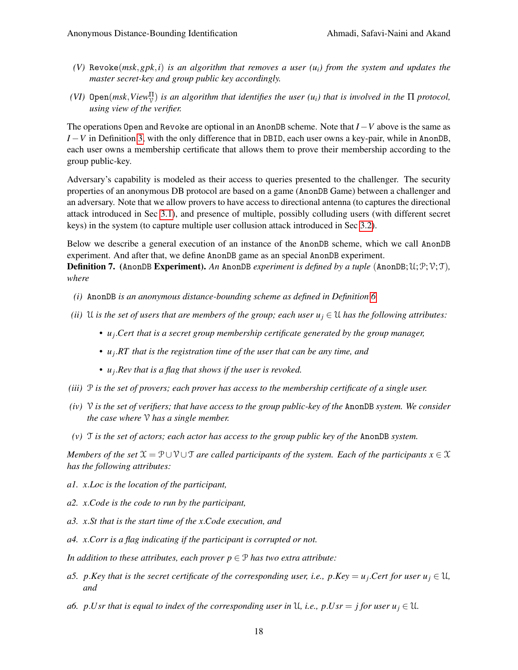- *(V)* Revoke(*msk*,*gpk*,*i*) *is an algorithm that removes a user (ui) from the system and updates the master secret-key and group public key accordingly.*
- *(VI)*  $\Phi$  Open $(msk, View^{\Pi}_{\mathcal{V}})$  *is an algorithm that identifies the user*  $(u_i)$  *that is involved in the*  $\Pi$  *protocol, using view of the verifier.*

The operations Open and Revoke are optional in an AnonDB scheme. Note that *I*−*V* above is the same as *I* − *V* in Definition [3,](#page-4-0) with the only difference that in DBID, each user owns a key-pair, while in AnonDB, each user owns a membership certificate that allows them to prove their membership according to the group public-key.

Adversary's capability is modeled as their access to queries presented to the challenger. The security properties of an anonymous DB protocol are based on a game (AnonDB Game) between a challenger and an adversary. Note that we allow provers to have access to directional antenna (to captures the directional attack introduced in Sec [3.1\)](#page-6-0), and presence of multiple, possibly colluding users (with different secret keys) in the system (to capture multiple user collusion attack introduced in Sec [3.2\)](#page-14-0).

Below we describe a general execution of an instance of the AnonDB scheme, which we call AnonDB experiment. And after that, we define AnonDB game as an special AnonDB experiment.

<span id="page-17-0"></span>**Definition 7.** (AnonDB **Experiment).** An AnonDB *experiment is defined by a tuple* (AnonDB;  $\mathcal{U}; \mathcal{P}; \mathcal{V}; \mathcal{T}$ ), *where*

- *(i)* AnonDB *is an anonymous distance-bounding scheme as defined in Definition [6.](#page-16-0)*
- *(ii)* U *is the set of users that are members of the group; each user*  $u_j \in \mathcal{U}$  *has the following attributes:* 
	- *• u<sup>j</sup>* .*Cert that is a secret group membership certificate generated by the group manager,*
	- *• u<sup>j</sup>* .*RT that is the registration time of the user that can be any time, and*
	- *• u<sup>j</sup>* .*Rev that is a flag that shows if the user is revoked.*
- *(iii)* P *is the set of provers; each prover has access to the membership certificate of a single user.*
- *(iv)* V *is the set of verifiers; that have access to the group public-key of the* AnonDB *system. We consider the case where* V *has a single member.*
- *(v)* T *is the set of actors; each actor has access to the group public key of the* AnonDB *system.*

*Members of the set*  $\mathfrak{X} = \mathcal{P} \cup \mathcal{V} \cup \mathcal{T}$  *are called participants of the system. Each of the participants*  $x \in \mathcal{X}$ *has the following attributes:*

- *a1. x*.*Loc is the location of the participant,*
- *a2. x*.*Code is the code to run by the participant,*
- *a3. x*.*St that is the start time of the x*.*Code execution, and*
- *a4. x*.*Corr is a flag indicating if the participant is corrupted or not.*

*In addition to these attributes, each prover*  $p \in \mathcal{P}$  *has two extra attribute:* 

- *a5. p.Key that is the secret certificate of the corresponding user, i.e., p.Key* =  $u_j$ *.Cert for user*  $u_j \in \mathcal{U}$ *, and*
- *a6. p.Usr that is equal to index of the corresponding user in*  $\mathcal{U}$ , *i.e., p.Usr* = *j* for user  $u_i \in \mathcal{U}$ .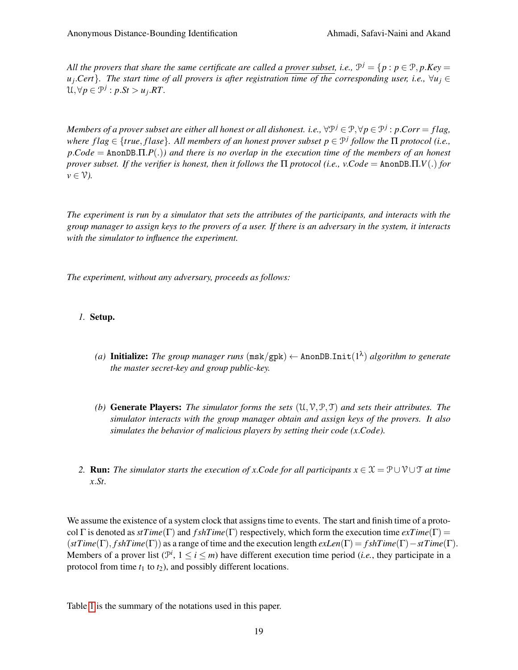All the provers that share the same certificate are called a prover subset, i.e.,  $\mathcal{P}^j = \{p : p \in \mathcal{P}, p.Key = p\}$ *uj* .*Cert*}*. The start time of all provers is after registration time of the corresponding user, i.e.,* ∀*u<sup>j</sup>* ∈  $\mathcal{U}, \forall p \in \mathcal{P}^j : p \cdot St > u_j \cdot RT.$ 

 $M$ embers of a prover subset are either all honest or all dishonest. i.e.,  $\forall$ P $^j$   $\in$   $\mathcal{P}, \forall p$   $\in$   $\mathcal{P}^j$  :  $p.Corr = flag$ , *where f lag* ∈ {*true*, *f lase*}*. All members of an honest prover subset p* ∈ P *j follow the* Π *protocol (i.e., p*.*Code* = AnonDB.Π.*P*(.)*) and there is no overlap in the execution time of the members of an honest prover subset. If the verifier is honest, then it follows the* Π *protocol (i.e., v*.*Code* = AnonDB.Π.*V*(.) *for*  $\nu \in \mathcal{V}$ ).

*The experiment is run by a simulator that sets the attributes of the participants, and interacts with the group manager to assign keys to the provers of a user. If there is an adversary in the system, it interacts with the simulator to influence the experiment.*

*The experiment, without any adversary, proceeds as follows:*

#### *1.* Setup.

- *(a)* Initialize: *The group manager runs* (msk/gpk) ← AnonDB.Init(1 λ ) *algorithm to generate the master secret-key and group public-key.*
- *(b)* Generate Players: *The simulator forms the sets* (U,V,P,T) *and sets their attributes. The simulator interacts with the group manager obtain and assign keys of the provers. It also simulates the behavior of malicious players by setting their code (x*.*Code).*
- *2.* **Run:** *The simulator starts the execution of x.Code for all participants*  $x \in \mathcal{X} = \mathcal{P} \cup \mathcal{V} \cup \mathcal{T}$  *at time x*.*St.*

We assume the existence of a system clock that assigns time to events. The start and finish time of a protocol Γ is denoted as  $stTime(\Gamma)$  and  $fshTime(\Gamma)$  respectively, which form the execution time  $exTime(\Gamma)$  = (*stTime*(Γ), *f shTime*(Γ)) as a range of time and the execution length *exLen*(Γ) = *f shTime*(Γ)−*stTime*(Γ). Members of a prover list  $(\mathcal{P}^i, 1 \le i \le m)$  have different execution time period (*i.e.*, they participate in a protocol from time  $t_1$  to  $t_2$ ), and possibly different locations.

Table [1](#page-19-0) is the summary of the notations used in this paper.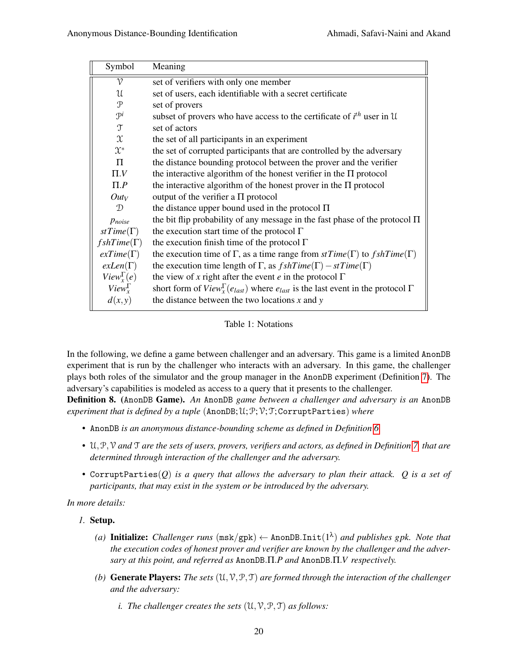<span id="page-19-0"></span>

| Symbol                 | Meaning                                                                                                          |
|------------------------|------------------------------------------------------------------------------------------------------------------|
| $\mathcal V$           | set of verifiers with only one member                                                                            |
| $\mathfrak u$          | set of users, each identifiable with a secret certificate                                                        |
| $\mathcal{P}$          | set of provers                                                                                                   |
| $\mathcal{P}^i$        | subset of provers who have access to the certificate of $i^{th}$ user in U                                       |
| $\mathfrak{T}$         | set of actors                                                                                                    |
| $\mathfrak{X}$         | the set of all participants in an experiment                                                                     |
| $\mathfrak{X}^*$       | the set of corrupted participants that are controlled by the adversary                                           |
| $\Pi$                  | the distance bounding protocol between the prover and the verifier                                               |
| $\Pi.V$                | the interactive algorithm of the honest verifier in the $\Pi$ protocol                                           |
| $\Pi.P$                | the interactive algorithm of the honest prover in the $\Pi$ protocol                                             |
| $Out_V$                | output of the verifier a $\Pi$ protocol                                                                          |
| D                      | the distance upper bound used in the protocol $\Pi$                                                              |
| Pnoise                 | the bit flip probability of any message in the fast phase of the protocol $\Pi$                                  |
| st $Time(\Gamma)$      | the execution start time of the protocol $\Gamma$                                                                |
| $fshTime(\Gamma)$      | the execution finish time of the protocol $\Gamma$                                                               |
| $exTime(\Gamma)$       | the execution time of $\Gamma$ , as a time range from $stTime(\Gamma)$ to $fshTime(\Gamma)$                      |
| $exLen(\Gamma)$        | the execution time length of $\Gamma$ , as $fshTime(\Gamma) - stTime(\Gamma)$                                    |
| $View_{r}^{\Gamma}(e)$ | the view of x right after the event e in the protocol $\Gamma$                                                   |
| $View_{r}^{\Gamma}$    | short form of $View_{\mathbf{r}}^{\Gamma}(e_{last})$ where $e_{last}$ is the last event in the protocol $\Gamma$ |
| d(x,y)                 | the distance between the two locations $x$ and $y$                                                               |

Table 1: Notations

In the following, we define a game between challenger and an adversary. This game is a limited AnonDB experiment that is run by the challenger who interacts with an adversary. In this game, the challenger plays both roles of the simulator and the group manager in the AnonDB experiment (Definition [7\)](#page-17-0). The adversary's capabilities is modeled as access to a query that it presents to the challenger.

Definition 8. (AnonDB Game). *An* AnonDB *game between a challenger and adversary is an* AnonDB *experiment that is defined by a tuple* (AnonDB;U;P;V;T;CorruptParties) *where*

- *•* AnonDB *is an anonymous distance-bounding scheme as defined in Definition [6.](#page-16-0)*
- *•* U,P,V *and* T *are the sets of users, provers, verifiers and actors, as defined in Definition [7,](#page-17-0) that are determined through interaction of the challenger and the adversary.*
- *•* CorruptParties(*Q*) *is a query that allows the adversary to plan their attack. Q is a set of participants, that may exist in the system or be introduced by the adversary.*

*In more details:*

#### *1.* Setup.

- (a) Initialize: Challenger runs  $(\text{msk/gpk}) \leftarrow \text{AnonDBInit}(1^{\lambda})$  and publishes gpk. Note that *the execution codes of honest prover and verifier are known by the challenger and the adversary at this point, and referred as* AnonDB.Π.*P and* AnonDB.Π.*V respectively.*
- *(b)* Generate Players: *The sets* (U,V,P,T) *are formed through the interaction of the challenger and the adversary:*
	- *i. The challenger creates the sets*  $(U, V, P, T)$  *as follows:*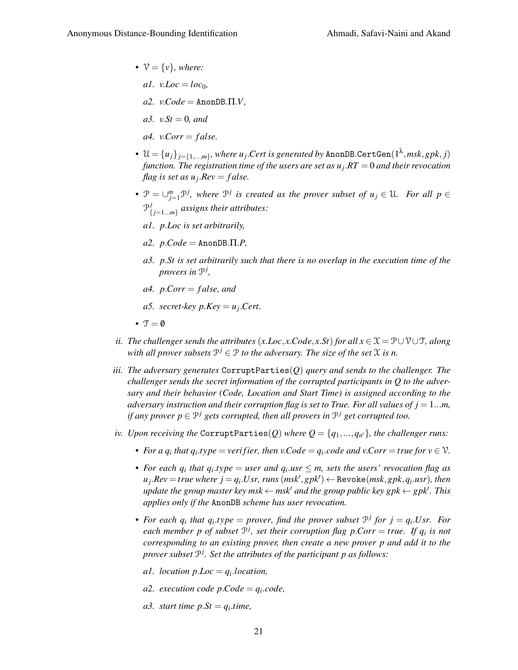•  $V = \{v\}$ *, where:* 

 $a1.$   $v.$ *Loc* =  $loc_0$ ,

 $a2.$  *v.Code* = AnonDB. $\Pi.V$ ,

*a3. v.St* = 0*, and* 

 $a4.$  *v*.*Corr* = *false.* 

- $\mathcal{U} = \{u_j\}_{j=\{1,...,m\}}$ , where  $u_j$ .Cert is generated by <code>AnonDB.CertGen(1 $^\lambda,$ msk,gpk,j)</code> *function. The registration time of the users are set as u<sup>j</sup>* .*RT* = 0 *and their revocation flag is set as u<sup>j</sup>* .*Rev* = *f alse.*
- **•**  $\mathcal{P} = \bigcup_{j=1}^{m} \mathcal{P}^j$ , where  $\mathcal{P}^j$  is created as the prover subset of  $u_j \in \mathcal{U}$ . For all  $p \in \mathcal{P}$  $\mathcal{P}_f^j$ { *j*=1...*m*} *assigns their attributes:*
	- *a1. p*.*Loc is set arbitrarily,*
	- $a2. p. Code = \text{AnonDB}.\Pi.P,$
	- *a3. p*.*St is set arbitrarily such that there is no overlap in the execution time of the provers in* P *j ,*
	- *a4. p*.*Corr* = *f alse, and*
	- *a5. secret-key*  $p$ *.Key* =  $u_j$ *.Cert.*
- $\mathcal{T} = \emptyset$
- *ii. The challenger sends the attributes* (*x*.*Loc*, *x*.*Code*, *x*.*St*) *for all*  $x \in \mathcal{X} = \mathcal{P} \cup \mathcal{V} \cup \mathcal{T}$ , *along* with all prover subsets  $\mathcal{P}^j \in \mathcal{P}$  to the adversary. The size of the set  $\mathcal X$  is n.
- *iii. The adversary generates* CorruptParties(*Q*) *query and sends to the challenger. The challenger sends the secret information of the corrupted participants in Q to the adversary and their behavior (Code, Location and Start Time) is assigned according to the adversary instruction and their corruption flag is set to True. For all values of*  $j = 1...m$ *, if any prover p* ∈  $\mathcal{P}^j$  *gets corrupted, then all provers in*  $\mathcal{P}^j$  *get corrupted too.*
- $i$ *v. Upon receiving the* <code>CorruptParties( $Q$ )</code> where  $Q = \{q_1, ..., q_{n'}\}$ , the challenger runs:
	- *For a*  $q_i$  *that*  $q_i$ *,type* = *verifier, then v.Code* =  $q_i$ *.code and v.Corr* = *true for*  $v \in V$ *.*
	- *For each*  $q_i$  *that*  $q_i.type = user$  *and*  $q_i.usr \leq m$ *, sets the users' revocation flag as*  $u_j$ .*Rev* = *true where*  $j = q_i$ *.Usr, runs*  $(msk', ghk')$   $\leftarrow$  Revoke $(msk, ghk, q_i.usr)$ , then  $u$ *pdate the group master key msk*  $\leftarrow$  *msk<sup>1</sup> and the group public key gpk*  $\leftarrow$  *gpk<sup>1</sup>*. *This applies only if the* AnonDB *scheme has user revocation.*
	- *For each*  $q_i$  that  $q_i$  *type* = *prover, find the prover subset*  $P^j$  *for*  $j = q_i$ *Usr. For each member p of subset* P *j , set their corruption flag p*.*Corr* = *true. If q<sup>i</sup> is not corresponding to an existing prover, then create a new prover p and add it to the prover subset* P *j . Set the attributes of the participant p as follows:*
		- *a1. location p*.*Loc* = *q<sup>i</sup>* .*location,*
		- *a2. execution code*  $p$ *.Code* =  $q_i$ *.code*,
		- *a3. start time p.St* =  $q_i$ *time,*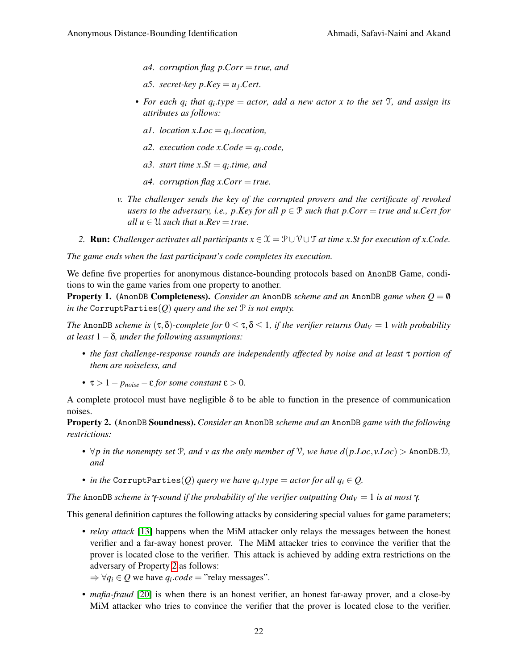- *a4. corruption flag p*.*Corr* = *true, and*
- *a5. secret-key*  $p$ *.Key* =  $u_j$ *.Cert.*
- *• For each q<sup>i</sup> that q<sup>i</sup>* .*type* = *actor, add a new actor x to the set* T*, and assign its attributes as follows:*
	- *a1. location*  $x$ *. Loc* =  $q_i$ *. location,*
	- *a2. execution code*  $x.Code = q_i.code$ ,
	- *a3. start time*  $xSt = q_i.time$ , and
	- *a4. corruption flag x*.*Corr* = *true.*
- *v. The challenger sends the key of the corrupted provers and the certificate of revoked users to the adversary, i.e., p.Key for all*  $p \in \mathcal{P}$  *such that p.Corr = <i>true and u.Cert for all*  $u \in U$  *such that*  $u$ *.Rev* = *true.*
- 2. **Run:** *Challenger activates all participants*  $x \in \mathcal{X} = \mathcal{P} \cup \mathcal{V} \cup \mathcal{T}$  *at time x.St for execution of x.Code.*

*The game ends when the last participant's code completes its execution.*

We define five properties for anonymous distance-bounding protocols based on AnonDB Game, conditions to win the game varies from one property to another.

<span id="page-21-1"></span>Property 1. (AnonDB Completeness). *Consider an* AnonDB *scheme and an* AnonDB *game when Q* = 0/ *in the* CorruptParties( $Q$ ) *query and the set*  $P$  *is not empty.* 

*The* AnonDB *scheme is* (τ,δ)*-complete for*  $0 \leq \tau, \delta \leq 1$ , *if the verifier returns Outy* = 1 *with probability at least* 1−δ*, under the following assumptions:*

- *• the fast challenge-response rounds are independently affected by noise and at least* τ *portion of them are noiseless, and*
- *•* τ > 1− *pnoise* −ε *for some constant* ε > 0*.*

A complete protocol must have negligible  $\delta$  to be able to function in the presence of communication noises.

<span id="page-21-0"></span>Property 2. (AnonDB Soundness). *Consider an* AnonDB *scheme and an* AnonDB *game with the following restrictions:*

- $\forall p$  in the nonempty set  $P$ *, and v as the only member of*  $V$ *, we have*  $d(p.Loc, v. Loc) >$  *AnonDB.* $D$ *, and*
- $\bullet$  *in the* <code>CorruptParties(*Q*) *query we have <code>q</code><sub>i</sub>.type = actor for all*  $q_i \in Q$ *.</code>*

*The* AnonDB *scheme is*  $\gamma$ -*sound if the probability of the verifier outputting Out* $V = 1$  *is at most*  $\gamma$ *.* 

This general definition captures the following attacks by considering special values for game parameters;

- *relay attack* [\[13\]](#page-39-4) happens when the MiM attacker only relays the messages between the honest verifier and a far-away honest prover. The MiM attacker tries to convince the verifier that the prover is located close to the verifier. This attack is achieved by adding extra restrictions on the adversary of Property [2](#page-21-0) as follows:
	- $\Rightarrow \forall q_i \in Q$  we have  $q_i \cdot code = "relay$  messages".
- *mafia-fraud* [\[20\]](#page-39-0) is when there is an honest verifier, an honest far-away prover, and a close-by MiM attacker who tries to convince the verifier that the prover is located close to the verifier.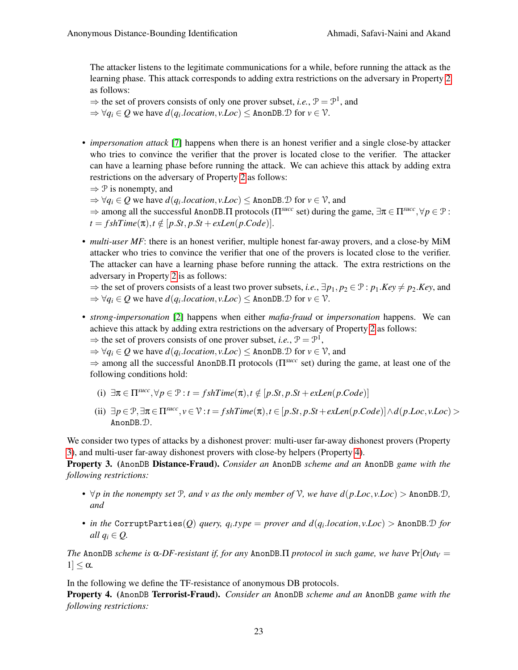The attacker listens to the legitimate communications for a while, before running the attack as the learning phase. This attack corresponds to adding extra restrictions on the adversary in Property [2](#page-21-0) as follows:

 $\Rightarrow$  the set of provers consists of only one prover subset, *i.e.*,  $\mathcal{P} = \mathcal{P}^1$ , and

 $\Rightarrow \forall q_i \in Q$  we have  $d(q_i \cdot location, v \cdot Loc) \leq$  AnonDB.  $\mathcal{D}$  for  $v \in \mathcal{V}$ .

- *impersonation attack* [\[7\]](#page-39-5) happens when there is an honest verifier and a single close-by attacker who tries to convince the verifier that the prover is located close to the verifier. The attacker can have a learning phase before running the attack. We can achieve this attack by adding extra restrictions on the adversary of Property [2](#page-21-0) as follows:
	- $\Rightarrow$  P is nonempty, and

 $\Rightarrow \forall q_i \in Q$  we have  $d(q_i, location, v. Loc) \leq \text{AnonDB.D}$  for  $v \in V$ , and

 $\Rightarrow$  among all the successful AnonDB.  $\Pi$  protocols ( $\Pi^{succ}$  set) during the game,  $\exists \pi \in \Pi^{succ}$ ,  $\forall p \in \mathcal{P}$ :  $t = f \, shTime(\pi), t \notin [p.St, p.St + exLen(p.Code)].$ 

• *multi-user MF*: there is an honest verifier, multiple honest far-away provers, and a close-by MiM attacker who tries to convince the verifier that one of the provers is located close to the verifier. The attacker can have a learning phase before running the attack. The extra restrictions on the adversary in Property [2](#page-21-0) is as follows:

 $\Rightarrow$  the set of provers consists of a least two prover subsets, *i.e.*,  $\exists p_1, p_2 \in \mathcal{P}$ :  $p_1$ *.Key*  $\neq p_2$ *.Key*, and  $\Rightarrow \forall q_i \in Q$  we have  $d(q_i, location, v. Loc) \leq \text{AnonDB.D}$  for  $v \in \mathcal{V}$ .

- *strong-impersonation* [\[2\]](#page-39-13) happens when either *mafia-fraud* or *impersonation* happens. We can achieve this attack by adding extra restrictions on the adversary of Property [2](#page-21-0) as follows:
	- $\Rightarrow$  the set of provers consists of one prover subset, *i.e.*,  $P = P<sup>1</sup>$ ,
	- $\Rightarrow \forall q_i \in Q$  we have  $d(q_i, location, v. Loc) \leq \text{AnonDB.D}$  for  $v \in V$ , and

⇒ among all the successful AnonDB.Π protocols (Π*succ* set) during the game, at least one of the following conditions hold:

- (i)  $\exists \pi \in \Pi^{succ}, \forall p \in \mathcal{P} : t = fshTime(\pi), t \notin [p.St, p.St + exLen(p.Code)]$
- (ii) ∃*p* ∈ P,∃π ∈ Π*succ* , *v* ∈ V : *t* = *f shTime*(π),*t* ∈ [*p*.*St*, *p*.*St*+*exLen*(*p*.*Code*)]∧*d*(*p*.*Loc*, *v*.*Loc*) > AnonDB.D.

We consider two types of attacks by a dishonest prover: multi-user far-away dishonest provers (Property [3\)](#page-22-1), and multi-user far-away dishonest provers with close-by helpers (Property [4\)](#page-22-0).

<span id="page-22-1"></span>Property 3. (AnonDB Distance-Fraud). *Consider an* AnonDB *scheme and an* AnonDB *game with the following restrictions:*

- $\forall p$  in the nonempty set P, and v as the only member of V, we have  $d(p.Loc, vLoc) >$  AnonDB.D, *and*
- *• in the* CorruptParties(*Q*) *query, q<sup>i</sup>* .*type* = *prover and d*(*q<sup>i</sup>* .*location*, *v*.*Loc*) > AnonDB.D *for all*  $q_i \in Q$ .

*The* AnonDB *scheme is* α*-DF-resistant if, for any* AnonDB.Π *protocol in such game, we have*  $Pr[Out_V =$  $1] \leq \alpha$ .

In the following we define the TF-resistance of anonymous DB protocols.

<span id="page-22-0"></span>Property 4. (AnonDB Terrorist-Fraud). *Consider an* AnonDB *scheme and an* AnonDB *game with the following restrictions:*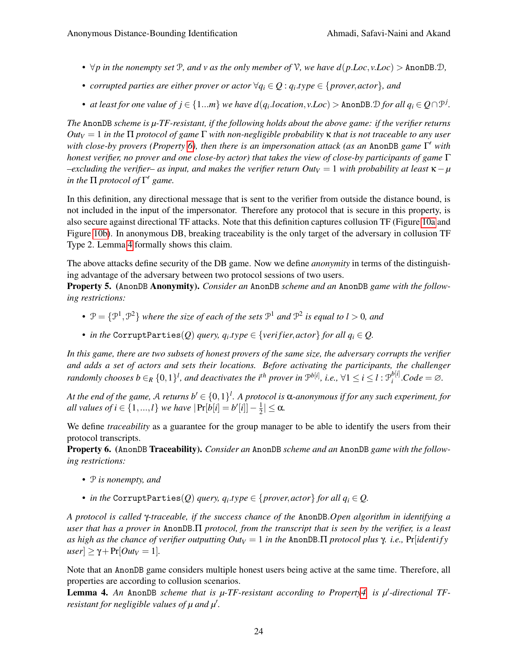- *•* ∀*p in the nonempty set* P*, and v as the only member of* V*, we have d*(*p*.*Loc*, *v*.*Loc*) > AnonDB.D*,*
- *• corrupted parties are either prover or actor* ∀*q<sup>i</sup>* ∈ *Q* : *q<sup>i</sup>* .*type* ∈ {*prover*,*actor*}*, and*
- *at least for one value of*  $j \in \{1...m\}$  *we have*  $d(q_i.location, v.Loc) > \text{AnonDB.D}$  *<i>for all*  $q_i \in Q \cap \mathcal{P}^j$ .

*The* AnonDB *scheme is µ-TF-resistant, if the following holds about the above game: if the verifier returns Out<sup>V</sup>* = 1 *in the* Π *protocol of game* Γ *with non-negligible probability* κ *that is not traceable to any user with close-by provers (Property [6\)](#page-23-0), then there is an impersonation attack (as an* AnonDB *game* Γ <sup>0</sup> *with honest verifier, no prover and one close-by actor) that takes the view of close-by participants of game* Γ *–excluding the verifier– as input, and makes the verifier return Out<sup>V</sup>* = 1 *with probability at least* κ−*µ in the*  $\Pi$  *protocol of*  $\Gamma'$  *game.* 

In this definition, any directional message that is sent to the verifier from outside the distance bound, is not included in the input of the impersonator. Therefore any protocol that is secure in this property, is also secure against directional TF attacks. Note that this definition captures collusion TF (Figure [10a](#page-15-1) and Figure [10b\)](#page-15-1). In anonymous DB, breaking traceability is the only target of the adversary in collusion TF Type 2. Lemma [4](#page-23-1) formally shows this claim.

The above attacks define security of the DB game. Now we define *anonymity* in terms of the distinguishing advantage of the adversary between two protocol sessions of two users.

<span id="page-23-2"></span>Property 5. (AnonDB Anonymity). *Consider an* AnonDB *scheme and an* AnonDB *game with the following restrictions:*

- $P = \{P^1, P^2\}$  where the size of each of the sets  $P^1$  and  $P^2$  is equal to  $l > 0$ , and
- *in the* <code>CorruptParties( $Q$ ) *query,*  $q_i.type \in \{verifier, actor\}$  *for all*  $q_i \in Q$ *.*</code>

*In this game, there are two subsets of honest provers of the same size, the adversary corrupts the verifier and adds a set of actors and sets their locations. Before activating the participants, the challenger randomly chooses b*  $\in$ <sub>R</sub>  $\{0,1\}^l$ , and deactivates the i<sup>th</sup> prover in  $\mathcal{P}^{b[i]}$ , i.e.,  $\forall$ 1  $\leq$  i  $\leq$  l :  $\mathcal{P}^{b[i]}_i$  $\sum_{i}^{b[i]}$ *.Code* = ∅*.* 

At the end of the game, A returns  $b' \in \{0,1\}^l$ . A protocol is  $\alpha$ -anonymous if for any such experiment, for *all values of i* ∈ {1, ...,*l*} *we have*  $|Pr[b[i] = b'[i]] - \frac{1}{2}$  $\frac{1}{2}$ |  $\leq \alpha$ .

We define *traceability* as a guarantee for the group manager to be able to identify the users from their protocol transcripts.

<span id="page-23-0"></span>Property 6. (AnonDB Traceability). *Consider an* AnonDB *scheme and an* AnonDB *game with the following restrictions:*

- *•* P *is nonempty, and*
- *in the* CorruptParties $(Q)$  *query,*  $q_i.type \in \{prover, actor\}$  *for all*  $q_i \in Q$ *.*

*A protocol is called* γ*-traceable, if the success chance of the* AnonDB.*Open algorithm in identifying a user that has a prover in* AnonDB.Π *protocol, from the transcript that is seen by the verifier, is a least as high as the chance of verifier outputting Out*<sub>*V*</sub> = 1 *in the AnonDB. II protocol plus*  $\gamma$ *. i.e., Pr*[*identify*  $|user| \geq \gamma + Pr[Out_V = 1].$ 

Note that an AnonDB game considers multiple honest users being active at the same time. Therefore, all properties are according to collusion scenarios.

<span id="page-23-1"></span>**Lemma 4.** An AnonDB scheme that is  $\mu$ -TF-resistant according to Propert[y4,](#page-22-0) is  $\mu'$ -directional TF*resistant for negligible values of*  $\mu$  *and*  $\mu'$ *.*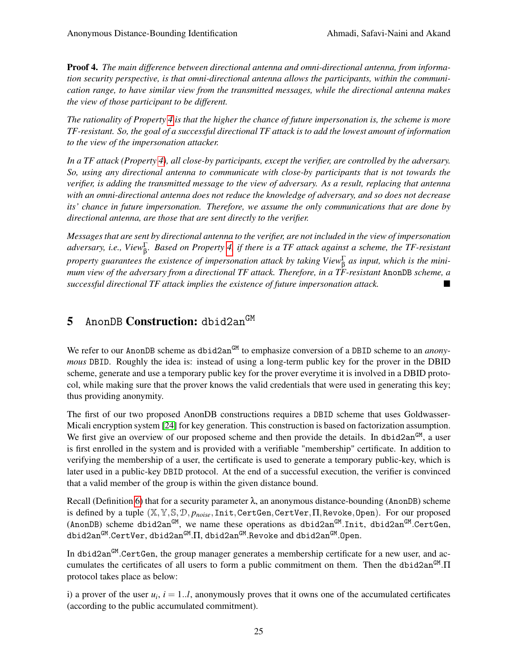Proof 4. *The main difference between directional antenna and omni-directional antenna, from information security perspective, is that omni-directional antenna allows the participants, within the communication range, to have similar view from the transmitted messages, while the directional antenna makes the view of those participant to be different.*

*The rationality of Property [4](#page-22-0) is that the higher the chance of future impersonation is, the scheme is more TF-resistant. So, the goal of a successful directional TF attack is to add the lowest amount of information to the view of the impersonation attacker.*

*In a TF attack (Property [4\)](#page-22-0), all close-by participants, except the verifier, are controlled by the adversary. So, using any directional antenna to communicate with close-by participants that is not towards the verifier, is adding the transmitted message to the view of adversary. As a result, replacing that antenna with an omni-directional antenna does not reduce the knowledge of adversary, and so does not decrease its' chance in future impersonation. Therefore, we assume the only communications that are done by directional antenna, are those that are sent directly to the verifier.*

*Messages that are sent by directional antenna to the verifier, are not included in the view of impersonation adversary, i.e., View*<sup>Γ</sup> β *. Based on Property [4,](#page-22-0) if there is a TF attack against a scheme, the TF-resistant property guarantees the existence of impersonation attack by taking View*<sup>Γ</sup> β *as input, which is the minimum view of the adversary from a directional TF attack. Therefore, in a TF-resistant* AnonDB *scheme, a successful directional TF attack implies the existence of future impersonation attack.*

# <span id="page-24-0"></span>5 AnonDB Construction: dbid2an<sup>GM</sup>

We refer to our AnonDB scheme as dbid2an<sup>GM</sup> to emphasize conversion of a DBID scheme to an *anonymous* DBID. Roughly the idea is: instead of using a long-term public key for the prover in the DBID scheme, generate and use a temporary public key for the prover everytime it is involved in a DBID protocol, while making sure that the prover knows the valid credentials that were used in generating this key; thus providing anonymity.

The first of our two proposed AnonDB constructions requires a DBID scheme that uses Goldwasser-Micali encryption system [\[24\]](#page-40-3) for key generation. This construction is based on factorization assumption. We first give an overview of our proposed scheme and then provide the details. In dbid2an $^{GM}$ , a user is first enrolled in the system and is provided with a verifiable "membership" certificate. In addition to verifying the membership of a user, the certificate is used to generate a temporary public-key, which is later used in a public-key DBID protocol. At the end of a successful execution, the verifier is convinced that a valid member of the group is within the given distance bound.

Recall (Definition [6\)](#page-16-0) that for a security parameter  $\lambda$ , an anonymous distance-bounding (AnonDB) scheme is defined by a tuple (X,Y,S,D, *pnoise*,Init,CertGen,CertVer,Π,Revoke,Open). For our proposed (AnonDB) scheme dbid2an $^{GM}$ , we name these operations as dbid2an $^{GM}$ .Init, dbid2an $^{GM}$ .CertGen, dbid2an<sup>GM</sup>.CertVer, dbid2an<sup>GM</sup>.∏, dbid2an<sup>GM</sup>.Revoke and dbid2an<sup>GM</sup>.Open.

In dbid2an<sup>GM</sup>.CertGen, the group manager generates a membership certificate for a new user, and accumulates the certificates of all users to form a public commitment on them. Then the dbid2an<sup>GM</sup>.Π protocol takes place as below:

i) a prover of the user  $u_i$ ,  $i = 1..l$ , anonymously proves that it owns one of the accumulated certificates (according to the public accumulated commitment).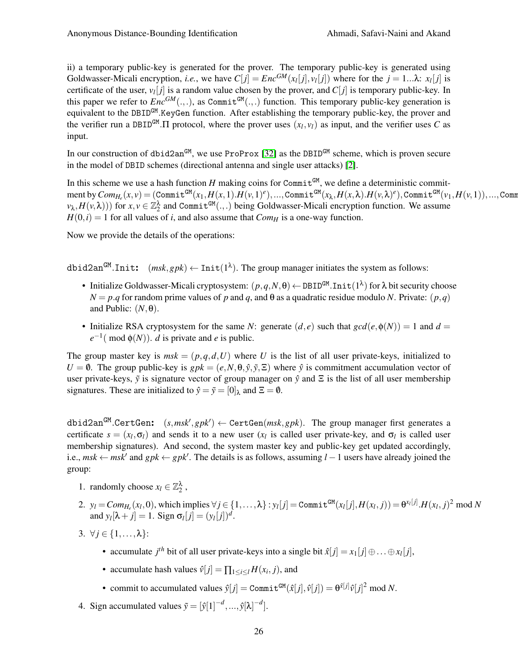ii) a temporary public-key is generated for the prover. The temporary public-key is generated using Goldwasser-Micali encryption, *i.e.*, we have  $C[j] = Enc^{GM}(x_l[j], v_l[j])$  where for the  $j = 1...\lambda$ :  $x_l[j]$  is certificate of the user,  $v_l[j]$  is a random value chosen by the prover, and  $C[j]$  is temporary public-key. In this paper we refer to  $Enc^{GM}(...)$ , as Commit<sup>GM</sup> $(...)$  function. This temporary public-key generation is equivalent to the DBID<sup>GM</sup>. KeyGen function. After establishing the temporary public-key, the prover and the verifier run a DBID<sup>GM</sup>. II protocol, where the prover uses  $(x_l, v_l)$  as input, and the verifier uses C as input.

In our construction of dbid2an<sup>GM</sup>, we use ProProx [\[32\]](#page-40-1) as the DBID<sup>GM</sup> scheme, which is proven secure in the model of DBID schemes (directional antenna and single user attacks) [\[2\]](#page-39-13).

In this scheme we use a hash function  $H$  making coins for Commit<sup>GM</sup>, we define a deterministic commit- $\mathsf{ment}$  by  $\mathit{Com}_{H_e}(x,v) = (\mathtt{Commit}^{\mathsf{GM}}(x_1,H(x,1).H(v,1)^e),...,\mathtt{Commit}^{\mathsf{GM}}(x_\lambda,H(x,\lambda).H(v,\lambda)^e),\mathtt{Commit}^{\mathsf{GM}}(v_1,H(v,1)),...,\mathtt{Commut}^e$  $(v_{\lambda}, H(v, \lambda)))$  for  $x, v \in \mathbb{Z}_2^{\lambda}$  and Commit<sup>GM</sup>(.,.) being Goldwasser-Micali encryption function. We assume  $H(0,i) = 1$  for all values of *i*, and also assume that *Com<sub>H</sub>* is a one-way function.

Now we provide the details of the operations:

dbid2an<sup>GM</sup>.Init:  $(msk, gpk) \leftarrow Int(1^{\lambda})$ . The group manager initiates the system as follows:

- Initialize Goldwasser-Micali cryptosystem:  $(p,q,N,\theta) \leftarrow \texttt{DBID}^{GM}.\texttt{Init}(1^\lambda)$  for  $\lambda$  bit security choose  $N = p$ .*q* for random prime values of *p* and *q*, and  $\theta$  as a quadratic residue modulo *N*. Private:  $(p, q)$ and Public:  $(N, \theta)$ .
- Initialize RSA cryptosystem for the same *N*: generate  $(d, e)$  such that  $gcd(e, \phi(N)) = 1$  and  $d =$  $e^{-1}$ (mod  $\phi(N)$ ). *d* is private and *e* is public.

The group master key is  $msk = (p,q,d,U)$  where *U* is the list of all user private-keys, initialized to  $U = \emptyset$ . The group public-key is *gpk* =  $(e, N, \theta, \hat{y}, \tilde{y}, \tilde{z})$  where  $\hat{y}$  is commitment accumulation vector of user private-keys,  $\tilde{y}$  is signature vector of group manager on  $\hat{y}$  and  $\Sigma$  is the list of all user membership signatures. These are initialized to  $\hat{y} = \tilde{y} = [0]_{\lambda}$  and  $\Xi = \emptyset$ .

 $\texttt{dbid2an}^\texttt{GM}. \texttt{CertGen:} \quad (s, msk', gpk') \gets \texttt{CertGen}(msk, gpk).$  The group manager first generates a certificate  $s = (x_l, \sigma_l)$  and sends it to a new user  $(x_l)$  is called user private-key, and  $\sigma_l$  is called user membership signatures). And second, the system master key and public-key get updated accordingly, i.e.,  $msk \leftarrow msk'$  and  $gpk \leftarrow gpk'$ . The details is as follows, assuming  $l - 1$  users have already joined the group:

- 1. randomly choose  $x_l \in \mathbb{Z}_2^{\lambda}$ ,
- 2.  $y_l = Com_{H_e}(x_l, 0)$ , which implies  $\forall j \in \{1, ..., \lambda\} : y_l[j] = Commit^{GM}(x_l[j], H(x_l, j)) = \theta^{x_l[j]} . H(x_l, j)^2 \text{ mod } N$ and  $y_l[\lambda + j] = 1$ . Sign  $\sigma_l[j] = (y_l[j])^d$ .
- 3.  $\forall j \in \{1, \ldots, \lambda\}$ :
	- accumulate *j*<sup>th</sup> bit of all user private-keys into a single bit  $\hat{x}[j] = x_1[j] \oplus \ldots \oplus x_l[j],$
	- accumulate hash values  $\hat{v}[j] = \prod_{1 \le i \le l} H(x_i, j)$ , and
	- commit to accumulated values  $\hat{y}[j] = \text{Commit}^{GM}(\hat{x}[j], \hat{v}[j]) = \theta^{\hat{x}[j]} \hat{v}[j]^2 \text{ mod } N$ .
- 4. Sign accumulated values  $\tilde{y} = [\hat{y}[1]^{-d}, ..., \hat{y}[\lambda]^{-d}]$ .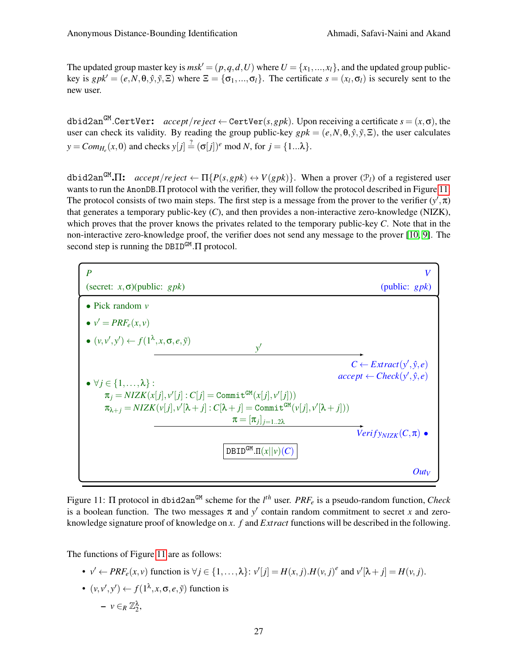The updated group master key is  $msk' = (p,q,d,U)$  where  $U = \{x_1,...,x_l\}$ , and the updated group publickey is  $gpk' = (e, N, \theta, \hat{y}, \tilde{y}, \Xi)$  where  $\Xi = {\sigma_1, ..., \sigma_l}$ . The certificate  $s = (x_l, \sigma_l)$  is securely sent to the new user.

dbid2anGM .CertVer: *accept*/*re ject* ← CertVer(*s*,*gpk*). Upon receiving a certificate *s* = (*x*,σ), the user can check its validity. By reading the group public-key  $gpk = (e, N, \theta, \hat{y}, \tilde{y}, \Xi)$ , the user calculates  $y = Com_{H_e}(x, 0)$  and checks  $y[j] \stackrel{?}{=} (\sigma[j])^e \text{ mod } N$ , for  $j = \{1...\lambda\}$ .

 $\text{dbid2an}^{\text{GM}}.\Pi$ :  $\text{accept/reject} \leftarrow \Pi\{P(s,gpk) \leftrightarrow V(gpk)\}.$  When a prover  $(\mathcal{P}_l)$  of a registered user wants to run the AnonDB. IT protocol with the verifier, they will follow the protocol described in Figure [11.](#page-26-0) The protocol consists of two main steps. The first step is a message from the prover to the verifier  $(y', \pi)$ that generates a temporary public-key (*C*), and then provides a non-interactive zero-knowledge (NIZK), which proves that the prover knows the privates related to the temporary public-key *C*. Note that in the non-interactive zero-knowledge proof, the verifier does not send any message to the prover [\[10,](#page-39-20) [9\]](#page-39-21). The second step is running the DBID<sup>GM</sup>. Π protocol.

<span id="page-26-0"></span>

Figure 11: Π protocol in dbid2anGM scheme for the *l th* user. *PRF<sup>e</sup>* is a pseudo-random function, *Check* is a boolean function. The two messages  $\pi$  and  $y'$  contain random commitment to secret *x* and zeroknowledge signature proof of knowledge on *x*. *f* and *Extract* functions will be described in the following.

The functions of Figure [11](#page-26-0) are as follows:

- $v' \leftarrow PRF_e(x, v)$  function is  $\forall j \in \{1, ..., \lambda\}$ :  $v'[j] = H(x, j) \cdot H(v, j)^e$  and  $v'[\lambda + j] = H(v, j)$ .
- $\bullet$   $(v, v', y') \leftarrow f(1^{\lambda}, x, \sigma, e, \tilde{y})$  function is  $-$  *ν* ∈*R*  $\mathbb{Z}_2^{\lambda}$ ,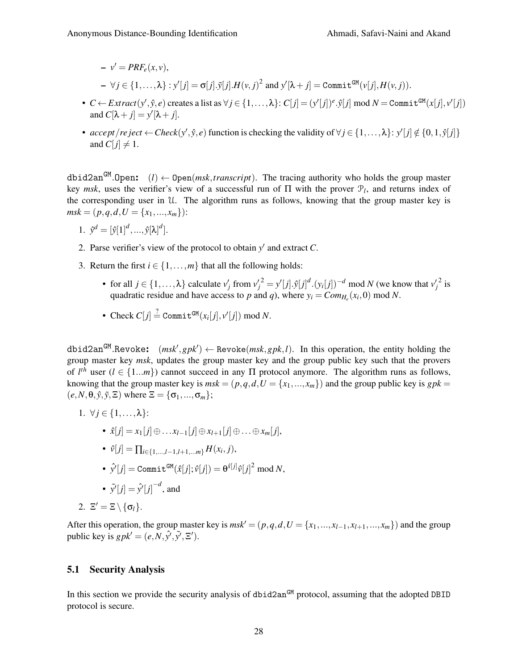$-\nu' = PRF_e(x,\nu),$  $\forall j \in \{1,\ldots,\lambda\} : y'[j] = \sigma[j].\tilde{y}[j].$   $H(v,j)^2$  and  $y'[\lambda + j] = \texttt{Commit}^{GM}(v[j],H(v,j)).$ 

- $C \leftarrow Extract(y', \hat{y}, e)$  creates a list as  $\forall j \in \{1, ..., \lambda\}$ :  $C[j] = (y'[j])^e \cdot \hat{y}[j] \mod N = \text{Commit}^{GM}(x[j], v'[j])$ and  $C[\lambda + j] = y'[\lambda + j]$ .
- $accept/reject \leftarrow Check(y', \hat{y}, e)$  function is checking the validity of  $\forall j \in \{1, ..., \lambda\}$ :  $y'[j] \notin \{0, 1, \hat{y}[j]\}$ and  $C[j] \neq 1$ .

dbid2anGM .Open: (*l*) ← Open(*msk*,*transcript*). The tracing authority who holds the group master key *msk*, uses the verifier's view of a successful run of  $\Pi$  with the prover  $\mathcal{P}_l$ , and returns index of the corresponding user in U. The algorithm runs as follows, knowing that the group master key is  $msk = (p, q, d, U = \{x_1, ..., x_m\})$ :

1. 
$$
\hat{\mathbf{y}}^d = [\hat{\mathbf{y}}[1]^d, ..., \hat{\mathbf{y}}[\lambda]^d].
$$

- 2. Parse verifier's view of the protocol to obtain  $y'$  and extract  $C$ .
- 3. Return the first  $i \in \{1, \ldots, m\}$  that all the following holds:
	- for all  $j \in \{1, ..., \lambda\}$  calculate  $v'_j$  from  ${v'_j}^2 = y'[j] \cdot \hat{y}[j]^d \cdot (y_i[j])^{-d} \mod N$  (we know that  $v'_j$  $2$  is quadratic residue and have access to *p* and *q*), where  $y_i = Com_{H_e}(x_i, 0) \text{ mod } N$ .
	- Check  $C[j] \stackrel{?}{=} \text{Commit}^{GM}(x_i[j], v'[j]) \text{ mod } N.$

 $\texttt{dbid2an}^{\texttt{GM}}. \texttt{Revolke:} \quad (msk', gpk') \leftarrow \texttt{Revolke}(msk, gpk, l).$  In this operation, the entity holding the group master key *msk*, updates the group master key and the group public key such that the provers of  $l^{th}$  user ( $l \in \{1...m\}$ ) cannot succeed in any  $\Pi$  protocol anymore. The algorithm runs as follows, knowing that the group master key is  $msk = (p,q,d,U = \{x_1,...,x_m\})$  and the group public key is  $gpk =$  $(e, N, \theta, \hat{y}, \tilde{y}, \Xi)$  where  $\Xi = {\sigma_1, ..., \sigma_m};$ 

1. 
$$
\forall j \in \{1, \ldots, \lambda\}
$$
:

- *x*ˆ[ *j*] = *x*1[ *j*]⊕... *xl*−1[ *j*]⊕*xl*+1[ *j*]⊕...⊕*xm*[ *j*],
- $\bullet$   $\hat{v}[j] = \prod_{i \in \{1,...,l-1,l+1,...m\}} H(x_i, j),$
- $\hat{\mathbf{y}}'[j] = \text{\tt Commit}^{\mathtt{GM}}(\hat{x}[j];\hat{v}[j]) = \theta^{\hat{x}[j]}\hat{v}[j]^2 \bmod N,$

• 
$$
\tilde{y'}[j] = \hat{y'}[j]^{-d}
$$
, and

$$
2. \ \Xi' = \Xi \setminus \{\sigma_l\}.
$$

After this operation, the group master key is  $msk' = (p,q,d,U = \{x_1,...,x_{l-1},x_{l+1},...,x_m\})$  and the group public key is  $gpk' = (e, N, \hat{y}', \tilde{y}', \Xi').$ 

## 5.1 Security Analysis

In this section we provide the security analysis of dbid2an<sup>GM</sup> protocol, assuming that the adopted DBID protocol is secure.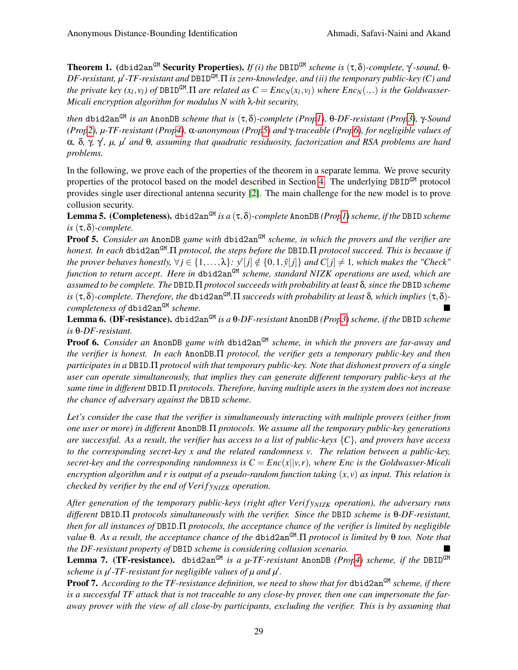**Theorem 1.** (dbid2an<sup>GM</sup> **Security Properties).** *If (i) the* DBID<sup>GM</sup> *scheme is* (τ,δ)-*complete*,  $\gamma$ -*sound*, θ-DF-resistant, μ'-TF-resistant and DBID<sup>GM</sup>.Π is zero-knowledge, and (ii) the temporary public-key (C) and *the private key (x<sub>l</sub>, v<sub>l</sub>) of DBID<sup>GM</sup>.*  $\Pi$  *are related as*  $C = Enc_N(x_l, v_l)$  *where*  $Enc_N(.,.)$  *is the Goldwasser-Micali encryption algorithm for modulus N with* λ*-bit security,*

*then* dbid2anGM *is an* AnonDB *scheme that is* (τ,δ)*-complete (Pro[p1\)](#page-21-1),* θ*-DF-resistant (Pro[p3\)](#page-22-1),* γ*-Sound (Pro[p2\)](#page-21-0), µ-TF-resistant (Pro[p4\)](#page-22-0),* α*-anonymous (Pro[p5\)](#page-23-2) and* γ*-traceable (Pro[p6\)](#page-23-0), for negligible values of* α*,* δ*,* γ*,* γ 0 *, µ, µ*<sup>0</sup> *and* θ*, assuming that quadratic residuosity, factorization and RSA problems are hard problems.*

In the following, we prove each of the properties of the theorem in a separate lemma. We prove security properties of the protocol based on the model described in Section [4.](#page-15-0) The underlying DBID<sup>GM</sup> protocol provides single user directional antenna security [\[2\]](#page-39-13). The main challenge for the new model is to prove collusion security.

Lemma 5. (Completeness). dbid2an<sup>GM</sup> *is a*  $(\tau, \delta)$ -*complete* AnonDB *(Pro[p1\)](#page-21-1) scheme, if the* DBID *scheme is* (τ,δ)*-complete.*

Proof 5. *Consider an* AnonDB game with dbid2an<sup>GM</sup> scheme, in which the provers and the verifier are *honest. In each* dbid2anGM *.*Π *protocol, the steps before the* DBID*.*Π *protocol succeed. This is because if* the prover behaves honestly,  $\forall j \in \{1,\ldots,\lambda\}$ :  $y'[j] \notin \{0,1,\hat{y}[j]\}$  and  $C[j] \neq 1$ , which makes the "Check" *function to return accept. Here in* dbid2anGM *scheme, standard NIZK operations are used, which are assumed to be complete. The* DBID*.*Π *protocol succeeds with probability at least* δ*, since the* DBID *scheme*  $i$ s  $(\tau, \delta)$ -complete. Therefore, the <code>dbid2an</code><sup>GM</sup>. $\Pi$  succeeds with probability at least  $\delta$ , which implies  $(\tau, \delta)$ *completeness of* dbid2an<sup>GM</sup> *scheme.* 

Lemma 6. (DF-resistance). dbid2anGM *is a* θ*-DF-resistant* AnonDB *(Pro[p3\)](#page-22-1) scheme, if the* DBID *scheme is* θ*-DF-resistant.*

**Proof 6.** *Consider an* AnonDB *game with* dbid2an<sup>GM</sup> *scheme, in which the provers are far-away and the verifier is honest. In each* AnonDB.Π *protocol, the verifier gets a temporary public-key and then participates in a* DBID.Π *protocol with that temporary public-key. Note that dishonest provers of a single user can operate simultaneously, that implies they can generate different temporary public-keys at the same time in different* DBID.Π *protocols. Therefore, having multiple users in the system does not increase the chance of adversary against the* DBID *scheme.*

*Let's consider the case that the verifier is simultaneously interacting with multiple provers (either from one user or more) in different* AnonDB.Π *protocols. We assume all the temporary public-key generations are successful. As a result, the verifier has access to a list of public-keys* {*C*}*, and provers have access to the corresponding secret-key x and the related randomness v. The relation between a public-key, secret-key and the corresponding randomness is*  $C = Enc(x||v,r)$ *, where Enc is the Goldwasser-Micali encryption algorithm and r is output of a pseudo-random function taking* (*x*, *v*) *as input. This relation is checked by verifier by the end of Veri f yNIZK operation.*

*After generation of the temporary public-keys (right after Veri f yNIZK operation), the adversary runs different* DBID.Π *protocols simultaneously with the verifier. Since the* DBID *scheme is* θ*-DF-resistant, then for all instances of* DBID.Π *protocols, the acceptance chance of the verifier is limited by negligible value* θ*. As a result, the acceptance chance of the* dbid2anGM *.*Π *protocol is limited by* θ *too. Note that the DF-resistant property of* DBID *scheme is considering collusion scenario.*

Lemma 7. (TF-resistance). dbid2an<sup>GM</sup> is a  $\mu$ -TF-resistant AnonDB *(Pro[p4\)](#page-22-0)* scheme, if the DBID<sup>GM</sup> scheme is  $\mu'$ -TF-resistant for negligible values of  $\mu$  and  $\mu'$ .

Proof 7. According to the TF-resistance definition, we need to show that for dbid2an<sup>GM</sup> scheme, if there *is a successful TF attack that is not traceable to any close-by prover, then one can impersonate the faraway prover with the view of all close-by participants, excluding the verifier. This is by assuming that*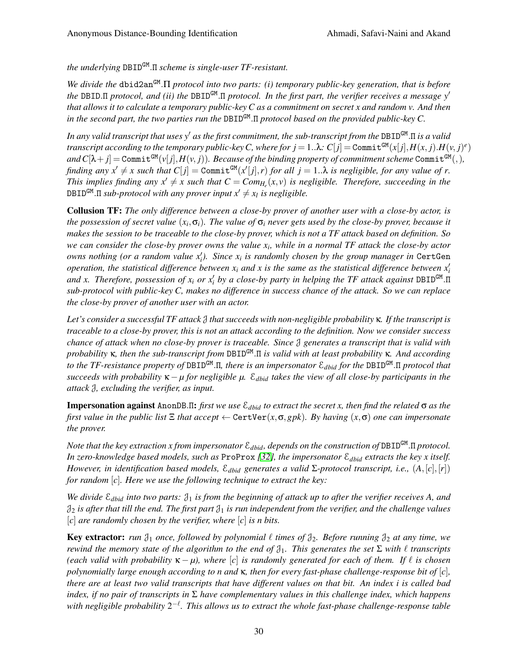*the underlying* DBIDGM .Π *scheme is single-user TF-resistant.*

We divide the dbid2an<sup>GM</sup>. Π *protocol into two parts: (i) temporary public-key generation, that is before the* DBID.Π *protocol, and (ii) the* DBID<sup>GM</sup>.Π *protocol. In the first part, the verifier receives a message y' that allows it to calculate a temporary public-key C as a commitment on secret x and random v. And then in the second part, the two parties run the* DBIDGM .Π *protocol based on the provided public-key C.*

*In any valid transcript that uses y*<sup>0</sup> *as the first commitment, the sub-transcript from the* DBIDGM .Π *is a valid transcript according to the temporary public-key*  $C$ *, where for*  $j = 1..\lambda$ *:*  $C[j] =$  *Commit* $^{GM}(x[j],H(x,j).H(v,j)^e)$  $\alpha$  *and*  $C[\lambda + j] =$  Commit<sup>GM</sup>(*v*[*j*],  $H(v, j)$ ). Because of the binding property of commitment scheme Commit<sup>GM</sup>(,), *finding any*  $x' \neq x$  such that  $C[j] =$  Commit<sup>GM</sup>( $x'[j], r$ ) *for all*  $j = 1..\lambda$  *is negligible, for any value of r. This implies finding any*  $x' \neq x$  such that  $C = Com_{H_e}(x, v)$  *is negligible. Therefore, succeeding in the*  $\texttt{DBID^{GM}}$ . $\Pi$  *sub-protocol with any prover input*  $x'\neq x_l$  *is negligible.* 

Collusion TF: *The only difference between a close-by prover of another user with a close-by actor, is the possession of secret value* (*x<sup>i</sup>* ,σ*i*)*. The value of* σ*<sup>i</sup> never gets used by the close-by prover, because it makes the session to be traceable to the close-by prover, which is not a TF attack based on definition. So we can consider the close-by prover owns the value x<sup>i</sup> , while in a normal TF attack the close-by actor owns nothing (or a random value*  $x'_i$ *). Since*  $x_i$  *is randomly chosen by the group manager in* CertGen *operation, the statistical difference between*  $x_i$  *and x is the same as the statistical difference between*  $x_i'$ *and x. Therefore, possession of x<sub>i</sub> or x'<sub>i</sub> by a close-by party in helping the TF attack against* DBID<sup>GM</sup>.Π *sub-protocol with public-key C, makes no difference in success chance of the attack. So we can replace the close-by prover of another user with an actor.*

*Let's consider a successful TF attack* J *that succeeds with non-negligible probability* κ*. If the transcript is traceable to a close-by prover, this is not an attack according to the definition. Now we consider success chance of attack when no close-by prover is traceable. Since* J *generates a transcript that is valid with probability* κ*, then the sub-transcript from* DBIDGM .Π *is valid with at least probability* κ*. And according to the TF-resistance property of* DBIDGM .Π*, there is an impersonator* E*dbid for the* DBIDGM .Π *protocol that succeeds with probability* κ−*µ for negligible µ.* E*dbid takes the view of all close-by participants in the attack* J*, excluding the verifier, as input.*

Impersonation against AnonDB.Π: *first we use* E*dbid to extract the secret x, then find the related* σ *as the first value in the public list*  $\Xi$  *that accept*  $\leftarrow$  CertVer $(x, \sigma, gpk)$ *. By having*  $(x, \sigma)$  *one can impersonate the prover.*

*Note that the key extraction x from impersonator* E*dbid, depends on the construction of* DBIDGM .Π *protocol. In zero-knowledge based models, such as* ProProx *[\[32\]](#page-40-1), the impersonator* E*dbid extracts the key x itself. However, in identification based models,*  $\mathcal{E}_{\text{dbid}}$  *generates a valid* Σ-protocol transcript, i.e.,  $(A, [c], [r])$ *for random* [*c*]*. Here we use the following technique to extract the key:*

*We divide* E*dbid into two parts:* J<sup>1</sup> *is from the beginning of attack up to after the verifier receives A, and*  $\mathfrak{J}_2$  *is after that till the end. The first part*  $\mathfrak{J}_1$  *is run independent from the verifier, and the challenge values* [*c*] *are randomly chosen by the verifier, where* [*c*] *is n bits.*

**Key extractor:** *run*  $\mathcal{J}_1$  *once, followed by polynomial*  $\ell$  *times of*  $\mathcal{J}_2$ *. Before running*  $\mathcal{J}_2$  *at any time, we rewind the memory state of the algorithm to the end of*  $\mathcal{J}_1$ *. This generates the set*  $\Sigma$  *with*  $\ell$  *transcripts (each valid with probability*  $\kappa - \mu$ ), where  $|c|$  *is randomly generated for each of them. If*  $\ell$  *is chosen polynomially large enough according to n and* κ*, then for every fast-phase challenge-response bit of* [*c*]*, there are at least two valid transcripts that have different values on that bit. An index i is called bad index, if no pair of transcripts in* Σ *have complementary values in this challenge index, which happens*  $w$ ith negligible probability 2<sup>-ℓ</sup>. This allows us to extract the whole fast-phase challenge-response table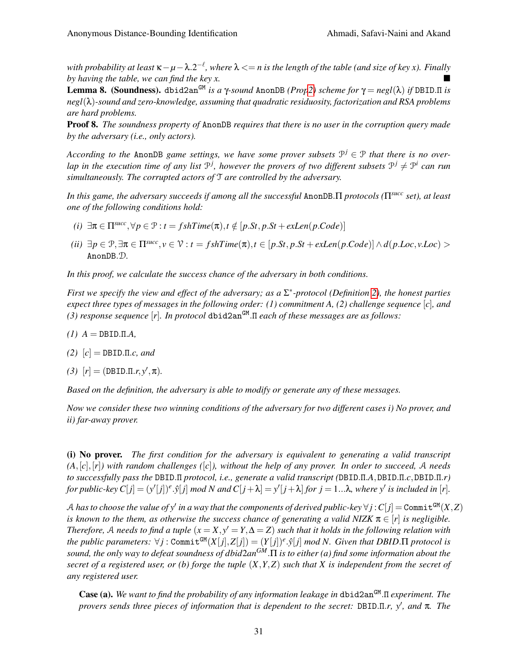*with probability at least* κ−*µ*−λ.2 −` *, where* λ <= *n is the length of the table (and size of key x). Finally by having the table, we can find the key x.*

<span id="page-30-0"></span>Lemma 8. (Soundness). dbid2an<sup>GM</sup> *is a* γ*-sound* AnonDB *(Pro[p2\)](#page-21-0) scheme for*  $\gamma = negl(\lambda)$  *if* DBID.Π *is negl*(λ)*-sound and zero-knowledge, assuming that quadratic residuosity, factorization and RSA problems are hard problems.*

Proof 8. *The soundness property of* AnonDB *requires that there is no user in the corruption query made by the adversary (i.e., only actors).*

*According to the AnonDB game settings, we have some prover subsets*  $\mathcal{P}^j \in \mathcal{P}$  *that there is no over*lap in the execution time of any list  $\mathcal{P}^j$ , however the provers of two different subsets  $\mathcal{P}^j \neq \mathcal{P}^i$  can run *simultaneously. The corrupted actors of* T *are controlled by the adversary.*

*In this game, the adversary succeeds if among all the successful* AnonDB.Π *protocols (*Π*succ set), at least one of the following conditions hold:*

- $(i)$   $\exists \pi \in \Pi^{succ}, \forall p \in \mathcal{P} : t = fshTime(\pi), t \notin [p.St, p.St + exLen(p.Code)]$
- (ii)  $\exists p \in \mathcal{P}, \exists \pi \in \Pi^{succ}, v \in \mathcal{V}: t = fshTime(\pi), t \in [p. St, p. St + exLen(p. Code)] \wedge d(p. Loc, v. Loc) >$ AnonDB.D*.*

*In this proof, we calculate the success chance of the adversary in both conditions.*

*First we specify the view and effect of the adversary; as a* Σ ∗ *-protocol (Definition [2\)](#page-3-2), the honest parties expect three types of messages in the following order: (1) commitment A, (2) challenge sequence* [*c*]*, and (3) response sequence* [*r*]*. In protocol* dbid2anGM .Π *each of these messages are as follows:*

- *(1) A* = DBID.Π.*A,*
- *(2)* [*c*] = DBID.Π.*c, and*
- *(3)*  $[r] = (DBID.\Pi.r, y', \pi)$ .

*Based on the definition, the adversary is able to modify or generate any of these messages.*

*Now we consider these two winning conditions of the adversary for two different cases i) No prover, and ii) far-away prover.*

(i) No prover. *The first condition for the adversary is equivalent to generating a valid transcript*  $(A, [c], [r])$  with random challenges  $([c]),$  without the help of any prover. In order to succeed, A needs *to successfully pass the* DBID.Π *protocol, i.e., generate a valid transcript (*DBID.Π.*A*,DBID.Π.*c*,DBID.Π.*r)* for public-key  $C[j] = (y'[j])^e \cdot \hat{y}[j] \mod N$  and  $C[j+\lambda] = y'[j+\lambda]$  for  $j = 1...\lambda$ , where  $y'$  is included in [r].

 $A$  has to choose the value of  $\mathsf{y}'$  in a way that the components of derived public-key  $\forall j$  :  $C[j]$   $=$  Commit $^{\mathtt{GM}}(X,Z)$ *is known to the them, as otherwise the success chance of generating a valid NIZK*  $\pi \in [r]$  *is negligible. Therefore,* A needs to find a tuple  $(x = X, y' = Y, \Delta = Z)$  such that it holds in the following relation with  $the \ public \ parameters \colon \forall j : \texttt{Commit}^{\texttt{GM}}(X[j], Z[j]) = (Y[j])^e.\hat{y}[j] \ mod \ N. \ Given \ that \ DBID.\Pi \ protocol \ is$ *sound, the only way to defeat soundness of dbid*2*anGM*.Π *is to either (a) find some information about the secret of a registered user, or (b) forge the tuple* (*X*,*Y*,*Z*) *such that X is independent from the secret of any registered user.*

Case (a). We want to find the probability of any information leakage in dbid2an<sup>GM</sup>. Π experiment. The *provers sends three pieces of information that is dependent to the secret:* DBID.Π.*r*, y', and π. The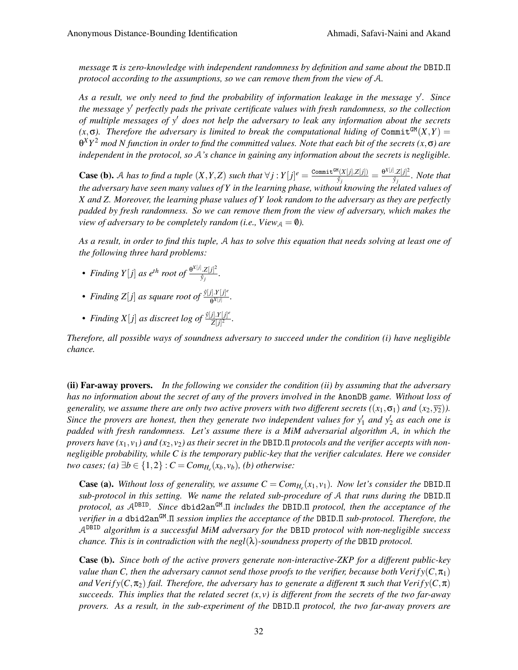*message* π *is zero-knowledge with independent randomness by definition and same about the* DBID.Π *protocol according to the assumptions, so we can remove them from the view of* A*.*

As a result, we only need to find the probability of information leakage in the message y'. Since *the message y*<sup>0</sup> *perfectly pads the private certificate values with fresh randomness, so the collection of multiple messages of y' does not help the adversary to leak any information about the secrets*  $(x, \sigma)$ . Therefore the adversary is limited to break the computational hiding of Commit<sup>GM</sup> $(X, Y)$  = θ *XY* <sup>2</sup> *mod N function in order to find the committed values. Note that each bit of the secrets (x*,σ*) are independent in the protocol, so* A*'s chance in gaining any information about the secrets is negligible.*

**Case (b).** A has to find a tuple  $(X, Y, Z)$  such that  $\forall j: Y[j] = \frac{\text{Commit}^{GM}(X[j], Z[j])}{\hat{\sigma}}$  $\frac{\theta^{X[j],Z[j])}}{\hat{y}_j}=\frac{\theta^{X[j],Z[j]^2}}{\hat{y}_j}$  $\frac{\partial [Z[J]]}{\partial j}$ *. Note that the adversary have seen many values of Y in the learning phase, without knowing the related values of X and Z. Moreover, the learning phase values of Y look random to the adversary as they are perfectly padded by fresh randomness. So we can remove them from the view of adversary, which makes the view of adversary to be completely random (i.e., View*<sub> $A$ </sub> = 0).

*As a result, in order to find this tuple,* A *has to solve this equation that needs solving at least one of the following three hard problems:*

- *Finding*  $Y[j]$  *as e<sup>th</sup> root of*  $\frac{\Theta^{X[j]} Z[j]^2}{\hat{\Omega}}$ *y*<sup>*j*</sup> *j*
- *Finding*  $Z[j]$  *as square root of*  $\frac{\hat{y}[j] \cdot Y[j]^e}{\mathbf{a}^{X[j]}}$  $\frac{f[J]^{T}[J]^{\circ}}{\theta^{X}[j]}$ .
- *Finding*  $X[j]$  *as discreet log of*  $\frac{\hat{y}[j], Y[j]^e}{Z[j]^2}$  $\frac{f[f] \cdot I[f]}{Z[j]^2}$ .

*Therefore, all possible ways of soundness adversary to succeed under the condition (i) have negligible chance.*

(ii) Far-away provers. *In the following we consider the condition (ii) by assuming that the adversary has no information about the secret of any of the provers involved in the* AnonDB *game. Without loss of generality, we assume there are only two active provers with two different secrets (* $(x_1, \sigma_1)$  *and*  $(x_2, \overline{y_2})$ *). Since the provers are honest, then they generate two independent values for*  $y'_1$  and  $y'_2$  as each one is *padded with fresh randomness. Let's assume there is a MiM adversarial algorithm* A*, in which the provers have*  $(x_1, y_1)$  *and*  $(x_2, y_2)$  *as their secret in the DBID.II protocols and the verifier accepts with nonnegligible probability, while C is the temporary public-key that the verifier calculates. Here we consider two cases;* (*a*)  $\exists b \in \{1,2\} : C = Com_{H_e}(x_b, v_b)$ , (*b*) *otherwise:* 

**Case (a).** Without loss of generality, we assume  $C = Com_{H_e}(x_1, v_1)$ . Now let's consider the DBID.II *sub-protocol in this setting. We name the related sub-procedure of* A *that runs during the* DBID.Π *protocol, as* ADBID*. Since* dbid2anGM .Π *includes the* DBID.Π *protocol, then the acceptance of the verifier in a* dbid2an<sup>GM</sup>.Π *session implies the acceptance of the* DBID.Π *sub-protocol. Therefore, the* ADBID *algorithm is a successful MiM adversary for the* DBID *protocol with non-negligible success chance. This is in contradiction with the negl*(λ)*-soundness property of the* DBID *protocol.*

Case (b). *Since both of the active provers generate non-interactive-ZKP for a different public-key value than C, then the adversary cannot send those proofs to the verifier, because both Verify*( $C, \pi_1$ ) *and Verify*( $C, \pi_2$ ) *fail. Therefore, the adversary has to generate a different*  $\pi$  *such that Verify*( $C, \pi$ ) succeeds. This implies that the related secret  $(x, y)$  is different from the secrets of the two far-away *provers. As a result, in the sub-experiment of the* DBID.Π *protocol, the two far-away provers are*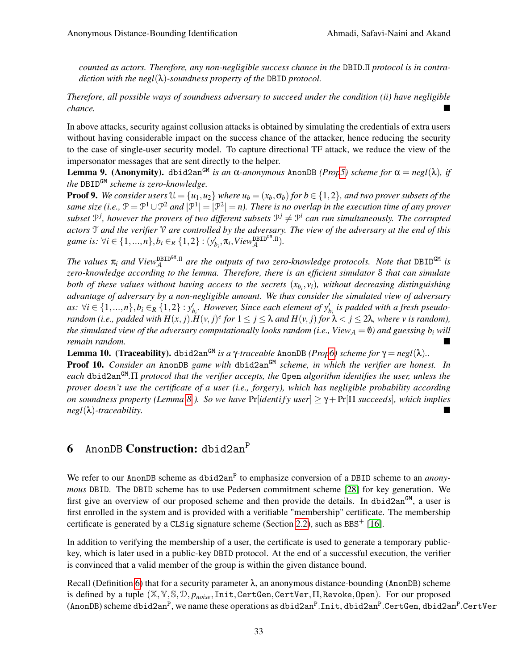*counted as actors. Therefore, any non-negligible success chance in the* DBID.Π *protocol is in contradiction with the negl*(λ)*-soundness property of the* DBID *protocol.*

*Therefore, all possible ways of soundness adversary to succeed under the condition (ii) have negligible chance.*

In above attacks, security against collusion attacks is obtained by simulating the credentials of extra users without having considerable impact on the success chance of the attacker, hence reducing the security to the case of single-user security model. To capture directional TF attack, we reduce the view of the impersonator messages that are sent directly to the helper.

**Lemma 9.** (Anonymity). dbid2an<sup>GM</sup> *is an* α*-anonymous* AnonDB *(Pro[p5\)](#page-23-2) scheme for* α = *negl*(λ), *if the* DBIDGM *scheme is zero-knowledge.*

**Proof 9.** We consider users  $\mathcal{U} = \{u_1, u_2\}$  where  $u_b = (x_b, \sigma_b)$  for  $b \in \{1, 2\}$ , and two prover subsets of the *same size (i.e.,*  $\mathcal{P} = \mathcal{P}^1 \cup \mathcal{P}^2$  and  $|\mathcal{P}^1| = |\mathcal{P}^2| = n$ ). There is no overlap in the execution time of any prover subset  $\mathbb{P}^j$ , however the provers of two different subsets  $\mathbb{P}^j \neq \mathbb{P}^i$  can run simultaneously. The corrupted *actors* T *and the verifier* V *are controlled by the adversary. The view of the adversary at the end of this game is:*  $\forall i \in \{1, ..., n\}, b_i \in_R \{1, 2\} : (y'_{b_i}, \pi_i, View_{\mathcal{A}}^{\text{DBIDGM}})$ .

The values  $\pi_i$  and View $_{\mathcal{A}}^{\text{DBIDGM}}$  are the outputs of two zero-knowledge protocols. Note that DBID<sup>GM</sup> is *zero-knowledge according to the lemma. Therefore, there is an efficient simulator* S *that can simulate both of these values without having access to the secrets* (*xb<sup>i</sup>* , *vi*)*, without decreasing distinguishing advantage of adversary by a non-negligible amount. We thus consider the simulated view of adversary as:*  $\forall i$  ∈ {1,...,n}, $b_i$  ∈<sub>R</sub> {1,2} :  $y'_{b_i}$ . However, Since each element of  $y'_{b_i}$  is padded with a fresh pseudo*random (i.e., padded with*  $H(x, j)$ *.* $H(y, j)^e$  *for*  $1 \leq j \leq \lambda$  *and*  $H(y, j)$  *for*  $\lambda < j \leq 2\lambda$ *, where v is random), the simulated view of the adversary computationally looks random (i.e., View* $_A = \emptyset$ ) and guessing  $b_i$  will *remain random.*

Lemma 10. (Traceability). dbid2an<sup>GM</sup> *is a* γ-traceable AnonDB *(Pro[p6\)](#page-23-0) scheme for*  $γ = negl(λ)$ *..* 

Proof 10. *Consider an* AnonDB *game with* dbid2an<sup>GM</sup> *scheme, in which the verifier are honest. In each* dbid2anGM *.*Π *protocol that the verifier accepts, the* Open *algorithm identifies the user, unless the prover doesn't use the certificate of a user (i.e., forgery), which has negligible probability according on soundness property (Lemma* [8](#page-30-0)). So we have  $Pr[identity user] \geq \gamma + Pr[\Pi succeeds]$ , which implies *negl*(λ)*-traceability.*

## <span id="page-32-0"></span>6 AnonDB Construction: dbid2an<sup>P</sup>

We refer to our AnonDB scheme as dbid2an<sup>P</sup> to emphasize conversion of a DBID scheme to an *anonymous* DBID. The DBID scheme has to use Pedersen commitment scheme [\[28\]](#page-40-4) for key generation. We first give an overview of our proposed scheme and then provide the details. In dbid2an<sup>GM</sup>, a user is first enrolled in the system and is provided with a verifiable "membership" certificate. The membership certificate is generated by a CLSig signature scheme (Section [2.2\)](#page-5-0), such as BBS<sup>+</sup> [\[16\]](#page-39-17).

In addition to verifying the membership of a user, the certificate is used to generate a temporary publickey, which is later used in a public-key DBID protocol. At the end of a successful execution, the verifier is convinced that a valid member of the group is within the given distance bound.

Recall (Definition [6\)](#page-16-0) that for a security parameter  $\lambda$ , an anonymous distance-bounding (AnonDB) scheme is defined by a tuple (X,Y,S,D, *pnoise*,Init,CertGen,CertVer,Π,Revoke,Open). For our proposed (AnonDB) scheme dbid2an $^{\rm P}$ , we name these operations as dbid2an $^{\rm P}$ .Init, dbid2an $^{\rm P}$ .CertGen, dbid2an $^{\rm P}$ .CertVer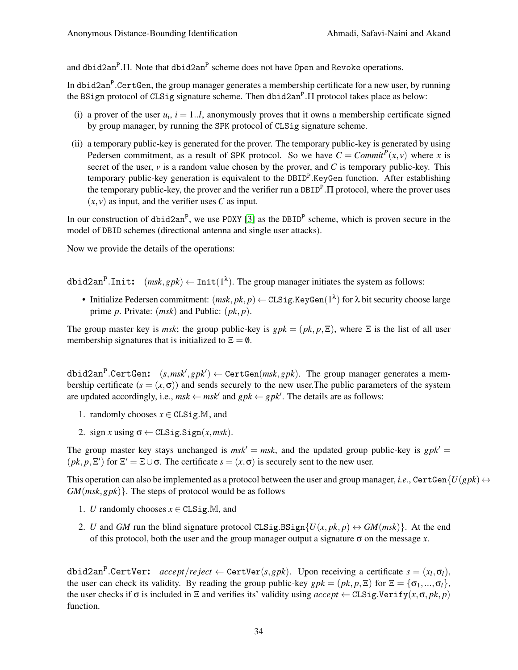and dbid2an $\rm^P. \Pi$ . Note that dbid2an $\rm^P$  scheme does not have 0pen and Revoke operations.

In dbid2an $^{\text{P}}$ .CertGen, the group manager generates a membership certificate for a new user, by running the BSign protocol of CLSig signature scheme. Then dbid2an<sup>P</sup>.Π protocol takes place as below:

- (i) a prover of the user  $u_i$ ,  $i = 1..l$ , anonymously proves that it owns a membership certificate signed by group manager, by running the SPK protocol of CLSig signature scheme.
- (ii) a temporary public-key is generated for the prover. The temporary public-key is generated by using Pedersen commitment, as a result of SPK protocol. So we have  $C = \text{Commit}^P(x, v)$  where *x* is secret of the user,  $\nu$  is a random value chosen by the prover, and C is temporary public-key. This temporary public-key generation is equivalent to the DBID<sup>P</sup>.KeyGen function. After establishing the temporary public-key, the prover and the verifier run a DBID<sup>P</sup>. Π protocol, where the prover uses  $(x, y)$  as input, and the verifier uses *C* as input.

In our construction of  $dbid2an^P$ , we use POXY [\[3\]](#page-39-14) as the DBID<sup>P</sup> scheme, which is proven secure in the model of DBID schemes (directional antenna and single user attacks).

Now we provide the details of the operations:

dbid2an<sup>P</sup>.Init:  $(msk, gpk) \leftarrow Int(1^{\lambda})$ . The group manager initiates the system as follows:

• Initialize Pedersen commitment:  $(msk, pk, p) \leftarrow \texttt{CLSig.KeyGen}(1^\lambda)$  for  $\lambda$  bit security choose large prime *p*. Private: (*msk*) and Public: (*pk*, *p*).

The group master key is *msk*; the group public-key is  $gpk = (pk, p, \Xi)$ , where  $\Xi$  is the list of all user membership signatures that is initialized to  $\Xi = \emptyset$ .

 $\texttt{dbid2an}^\texttt{P}.\texttt{CertGen:}\quad(s, msk', gpk') \gets \texttt{CertGen}(msk, gpk).$  The group manager generates a membership certificate  $(s = (x, \sigma))$  and sends securely to the new user. The public parameters of the system are updated accordingly, i.e.,  $msk \leftarrow msk'$  and  $gpk \leftarrow gpk'$ . The details are as follows:

- 1. randomly chooses  $x \in \text{CLSig.M},$  and
- 2. sign *x* using  $\sigma \leftarrow \text{CLSig.Sign}(x, msk)$ .

The group master key stays unchanged is  $msk' = msk$ , and the updated group public-key is  $gpk' =$  $(pk, p, \Xi')$  for  $\Xi' = \Xi \cup \sigma$ . The certificate  $s = (x, \sigma)$  is securely sent to the new user.

This operation can also be implemented as a protocol between the user and group manager, *i.e.*, CertGen ${U(gpk) \leftrightarrow U(gpk)}$ *GM*(*msk*,*gpk*)}. The steps of protocol would be as follows

- 1. *U* randomly chooses  $x \in CLSig.M$ , and
- 2. *U* and *GM* run the blind signature protocol CLSig.BSign{ $U(x, pk, p) \leftrightarrow GM(msk)$ }. At the end of this protocol, both the user and the group manager output a signature  $\sigma$  on the message *x*.

 $\texttt{dbid2an}^\texttt{P}.\texttt{CertVer:} \quad accept/reject} \gets \texttt{CertVer}(s, gpk). \text{ Upon receiving a certificate } s = (x_l, \sigma_l),$ the user can check its validity. By reading the group public-key  $gpk = (pk, p, \Xi)$  for  $\Xi = {\sigma_1, ..., \sigma_l}$ , the user checks if  $\sigma$  is included in  $\Xi$  and verifies its' validity using *accept*  $\leftarrow$  CLSig.Verify $(x, \sigma, pk, p)$ function.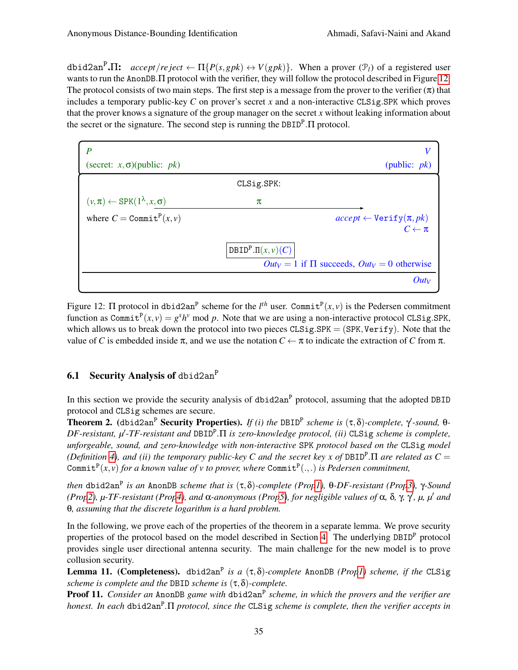$\text{dbid2an}^P \cdot \Pi$ :  $\text{accept} / \text{reject} \leftarrow \Pi \{ P(s, gpk) \leftrightarrow V(gpk) \}.$  When a prover  $(\mathcal{P}_l)$  of a registered user wants to run the AnonDB. The protocol with the verifier, they will follow the protocol described in Figure [12.](#page-34-0) The protocol consists of two main steps. The first step is a message from the prover to the verifier  $(\pi)$  that includes a temporary public-key *C* on prover's secret *x* and a non-interactive CLSig.SPK which proves that the prover knows a signature of the group manager on the secret *x* without leaking information about the secret or the signature. The second step is running the DBID<sup>P</sup>. Π protocol.

<span id="page-34-0"></span>

| (secret: $x, \sigma$ )(public: $pk$ )             | (public: $pk$ )                                      |
|---------------------------------------------------|------------------------------------------------------|
|                                                   | CLSig.SPK:                                           |
| $(v,\pi) \leftarrow$ SPK $(1^{\lambda},x,\sigma)$ | π                                                    |
| where $C = \text{Commit}^P(x, v)$                 | $accept \leftarrow Verify(\pi, pk)$                  |
|                                                   | $C \leftarrow \pi$                                   |
|                                                   | DBID <sup>P</sup> . $\Pi(x, v)(C)$                   |
|                                                   | $Out_V = 1$ if $\Pi$ succeeds, $Out_V = 0$ otherwise |
|                                                   | $Out_V$                                              |

Figure 12:  $\Pi$  protocol in dbid2an<sup>P</sup> scheme for the  $l^{th}$  user. Commit<sup>P</sup> $(x, v)$  is the Pedersen commitment function as Commit<sup>P</sup> $(x, y) = g<sup>x</sup>h<sup>y</sup>$  mod *p*. Note that we are using a non-interactive protocol CLSig.SPK, which allows us to break down the protocol into two pieces  $CLSig.SPK = (SPK, Verify)$ . Note that the value of *C* is embedded inside π, and we use the notation *C* ← π to indicate the extraction of *C* from π.

## 6.1 Security Analysis of dbid2an<sup>P</sup>

In this section we provide the security analysis of  $\text{dbid2an}^P$  protocol, assuming that the adopted DBID protocol and CLSig schemes are secure.

**Theorem 2.** (dbid2an<sup>P</sup> Security Properties). *If (i) the* DBID<sup>P</sup> scheme is  $(τ,δ)$ -complete,  $γ$ -sound, θ-*DF-resistant, μ'-TF-resistant and* DBID<sup>P</sup>.Π *is zero-knowledge protocol, (ii)* CLSig *scheme is complete, unforgeable, sound, and zero-knowledge with non-interactive* SPK *protocol based on the* CLSig *model (Definition [4\)](#page-5-1), and (ii) the temporary public-key C and the secret key x of*  $DBID<sup>P</sup>.\Pi$  *are related as*  $C =$ Commit<sup>P</sup>(*x*,*v*) for a known value of *v* to prover, where Commit<sup>P</sup>(.,.) is Pedersen commitment,

*then* dbid2an<sup>P</sup> *is an* AnonDB *scheme that is* (τ,δ)*-complete (Pro[p1\)](#page-21-1),* θ*-DF-resistant (Pro[p3\)](#page-22-1),* γ*-Sound (Pro[p2\)](#page-21-0), µ-TF-resistant (Pro[p4\)](#page-22-0), and* α*-anonymous (Pro[p5\)](#page-23-2), for negligible values of* α*,* δ*,* γ*,* γ 0 *, µ, µ*<sup>0</sup> *and* θ*, assuming that the discrete logarithm is a hard problem.*

In the following, we prove each of the properties of the theorem in a separate lemma. We prove security properties of the protocol based on the model described in Section [4.](#page-15-0) The underlying DBID<sup>P</sup> protocol provides single user directional antenna security. The main challenge for the new model is to prove collusion security.

Lemma 11. (Completeness). dbid2an<sup>P</sup> *is a* (τ,δ)*-complete* AnonDB *(Pro[p1\)](#page-21-1) scheme, if the* CLSig *scheme is complete and the* DBID *scheme is* (τ,δ)*-complete.*

**Proof 11.** Consider an AnonDB game with dbid2an<sup>P</sup> scheme, in which the provers and the verifier are *honest. In each* dbid2an<sup>P</sup> *.*Π *protocol, since the* CLSig *scheme is complete, then the verifier accepts in*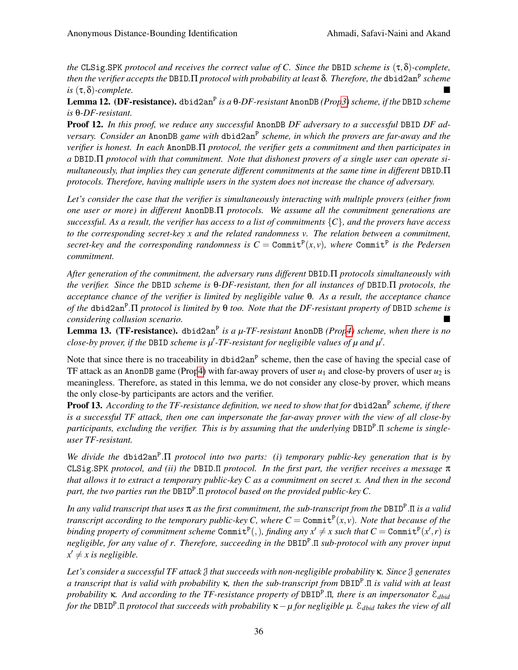*the* CLSig.SPK *protocol and receives the correct value of C. Since the* DBID *scheme is* (τ,δ)*-complete, then the verifier accepts the* DBID.Π *protocol with probability at least* δ. *Therefore, the* <code>dbid2an<sup>P</sup> scheme</code> *is* (τ,δ)*-complete.*

Lemma 12. (DF-resistance). dbid2an<sup>P</sup> *is a* θ*-DF-resistant* AnonDB *(Pro[p3\)](#page-22-1) scheme, if the* DBID *scheme is* θ*-DF-resistant.*

Proof 12. *In this proof, we reduce any successful* AnonDB *DF adversary to a successful* DBID *DF adversary. Consider an* AnonDB *game with* dbid2an<sup>P</sup> *scheme, in which the provers are far-away and the verifier is honest. In each* AnonDB.Π *protocol, the verifier gets a commitment and then participates in a* DBID.Π *protocol with that commitment. Note that dishonest provers of a single user can operate simultaneously, that implies they can generate different commitments at the same time in different* DBID.Π *protocols. Therefore, having multiple users in the system does not increase the chance of adversary.*

*Let's consider the case that the verifier is simultaneously interacting with multiple provers (either from one user or more) in different* AnonDB.Π *protocols. We assume all the commitment generations are successful. As a result, the verifier has access to a list of commitments* {*C*}*, and the provers have access to the corresponding secret-key x and the related randomness v. The relation between a commitment,* secret-key and the corresponding randomness is  $C = \text{Commit}^P(x, v)$ , where  $\text{Commit}^P$  is the Pedersen *commitment.*

*After generation of the commitment, the adversary runs different* DBID.Π *protocols simultaneously with the verifier. Since the* DBID *scheme is* θ*-DF-resistant, then for all instances of* DBID.Π *protocols, the acceptance chance of the verifier is limited by negligible value* θ*. As a result, the acceptance chance of the* dbid2an<sup>P</sup> *.*Π *protocol is limited by* θ *too. Note that the DF-resistant property of* DBID *scheme is considering collusion scenario.*

Lemma 13. (TF-resistance). dbid2an<sup>P</sup> is a  $\mu$ -TF-resistant AnonDB (Pro[p4\)](#page-22-0) scheme, when there is no *close-by prover, if the DBID scheme is*  $\mu'$ *-TF-resistant for negligible values of*  $\mu$  *and*  $\mu'$ *.* 

Note that since there is no traceability in dbid2an<sup>P</sup> scheme, then the case of having the special case of TF attack as an AnonDB game (Pro[p4\)](#page-22-0) with far-away provers of user  $u_1$  and close-by provers of user  $u_2$  is meaningless. Therefore, as stated in this lemma, we do not consider any close-by prover, which means the only close-by participants are actors and the verifier.

Proof 13. According to the TF-resistance definition, we need to show that for dbid2an<sup>P</sup> scheme, if there *is a successful TF attack, then one can impersonate the far-away prover with the view of all close-by participants, excluding the verifier. This is by assuming that the underlying* DBID<sup>P</sup> .Π *scheme is singleuser TF-resistant.*

*We divide the dbid2an<sup>P</sup>.Π <i>protocol into two parts: (i) temporary public-key generation that is by* CLSig.SPK *protocol, and (ii) the* DBID.Π *protocol. In the first part, the verifier receives a message* π *that allows it to extract a temporary public-key C as a commitment on secret x. And then in the second part, the two parties run the* DBID<sup>P</sup> .Π *protocol based on the provided public-key C.*

*In any valid transcript that uses* π *as the first commitment, the sub-transcript from the* DBID<sup>P</sup> .Π *is a valid transcript according to the temporary public-key C, where*  $C =$  Commit<sup>P</sup> $(x, v)$ *. Note that because of the* binding property of commitment scheme  $\text{Commit}^{\text{P}}(,)$ , finding any  $x' \neq x$  such that  $C = \text{Commit}^{\text{P}}(x', r)$  is *negligible, for any value of r. Therefore, succeeding in the* DBID<sup>P</sup> .Π *sub-protocol with any prover input*  $x' \neq x$  *is negligible.* 

*Let's consider a successful TF attack* J *that succeeds with non-negligible probability* κ*. Since* J *generates a transcript that is valid with probability* κ*, then the sub-transcript from* DBID<sup>P</sup> .Π *is valid with at least probability* κ*. And according to the TF-resistance property of* DBID<sup>P</sup> .Π*, there is an impersonator* E*dbid for the* DBID<sup>P</sup> .Π *protocol that succeeds with probability* κ−*µ for negligible µ.* E*dbid takes the view of all*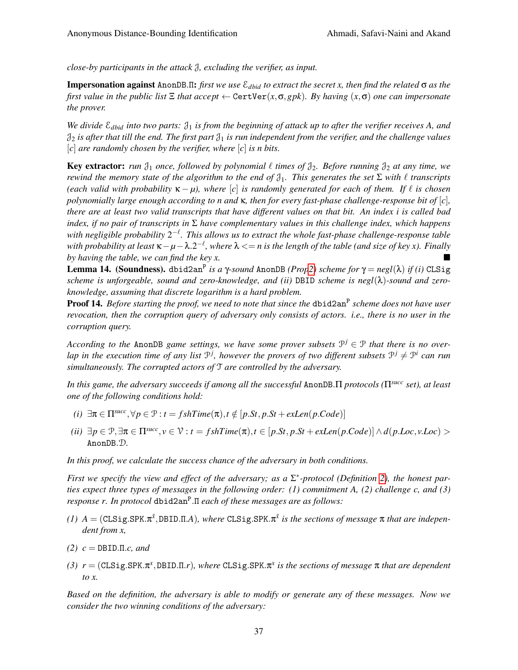*close-by participants in the attack* J*, excluding the verifier, as input.*

Impersonation against AnonDB.Π: *first we use* E*dbid to extract the secret x, then find the related* σ *as the first value in the public list*  $\Xi$  *that accept*  $\leftarrow$  CertVer $(x, \sigma, gpk)$ *. By having*  $(x, \sigma)$  *one can impersonate the prover.*

*We divide* E*dbid into two parts:* J<sup>1</sup> *is from the beginning of attack up to after the verifier receives A, and*  $\mathfrak{J}_2$  *is after that till the end. The first part*  $\mathfrak{J}_1$  *is run independent from the verifier, and the challenge values* [*c*] *are randomly chosen by the verifier, where* [*c*] *is n bits.*

**Key extractor:** *run*  $\mathcal{J}_1$  *once, followed by polynomial*  $\ell$  *times of*  $\mathcal{J}_2$ *. Before running*  $\mathcal{J}_2$  *at any time, we rewind the memory state of the algorithm to the end of*  $\mathcal{J}_1$ *. This generates the set*  $\Sigma$  *with*  $\ell$  *transcripts (each valid with probability*  $\kappa - \mu$ ), where [*c*] *is randomly generated for each of them. If*  $\ell$  *is chosen polynomially large enough according to n and* κ*, then for every fast-phase challenge-response bit of* [*c*]*, there are at least two valid transcripts that have different values on that bit. An index i is called bad index, if no pair of transcripts in* Σ *have complementary values in this challenge index, which happens with negligible probability*  $2^{-\ell}$ . This allows us to extract the whole fast-phase challenge-response table *with probability at least* κ−*µ*−λ.2 −` *, where* λ <= *n is the length of the table (and size of key x). Finally by having the table, we can find the key x.*

Lemma 14. (Soundness). dbid2an<sup>P</sup> *is a* γ*-sound* AnonDB *(Pro[p2\)](#page-21-0) scheme for* γ = *negl*(λ) *if (i)* CLSig *scheme is unforgeable, sound and zero-knowledge, and (ii)* DBID *scheme is negl*(λ)*-sound and zeroknowledge, assuming that discrete logarithm is a hard problem.*

Proof 14. *Before starting the proof, we need to note that since the dbid2an<sup>p</sup> scheme does not have user revocation, then the corruption query of adversary only consists of actors. i.e., there is no user in the corruption query.*

*According to the AnonDB game settings, we have some prover subsets*  $\mathcal{P}^j \in \mathcal{P}$  *that there is no over*lap in the execution time of any list  $\mathcal{P}^j$ , however the provers of two different subsets  $\mathcal{P}^j \neq \mathcal{P}^i$  can run *simultaneously. The corrupted actors of* T *are controlled by the adversary.*

*In this game, the adversary succeeds if among all the successful* AnonDB.Π *protocols (*Π*succ set), at least one of the following conditions hold:*

- $(i)$   $\exists \pi \in \Pi^{succ}, \forall p \in \mathcal{P} : t = fshTime(\pi), t \notin [p.St, p.St + exLen(p.Code)]$
- (ii)  $\exists p \in \mathcal{P}, \exists \pi \in \Pi^{succ}, v \in \mathcal{V}: t = fshTime(\pi), t \in [p. St, p. St + exLen(p. Code)] \wedge d(p. Loc, v. Loc) >$ AnonDB.D*.*

*In this proof, we calculate the success chance of the adversary in both conditions.*

*First we specify the view and effect of the adversary; as a* Σ ∗ *-protocol (Definition [2\)](#page-3-2), the honest parties expect three types of messages in the following order: (1) commitment A, (2) challenge c, and (3) response r. In protocol* dbid2an<sup>P</sup> .Π *each of these messages are as follows:*

- $(1)$   $A = (CLSig.SPK.\pi^{\bar{x}}, DBID.II.A)$ *, where*  $CLSig.SPK.\pi^{\bar{x}}$  *is the sections of message*  $\pi$  *that are independent from x,*
- *(2) c* = DBID.Π.*c, and*
- *(3) r* = (CLSig.SPK.π *x* ,DBID.Π.*r*)*, where* CLSig.SPK.π *x is the sections of message* π *that are dependent to x.*

*Based on the definition, the adversary is able to modify or generate any of these messages. Now we consider the two winning conditions of the adversary:*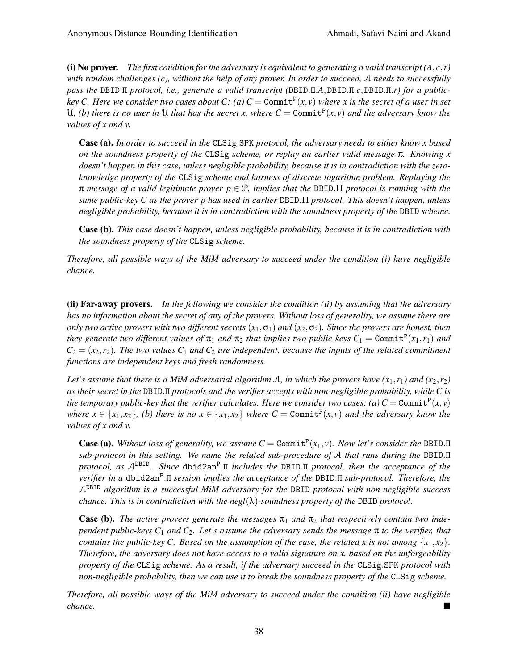(i) No prover. *The first condition for the adversary is equivalent to generating a valid transcript*  $(A, c, r)$ *with random challenges (c), without the help of any prover. In order to succeed,* A *needs to successfully pass the* DBID.Π *protocol, i.e., generate a valid transcript (*DBID.Π.*A*,DBID.Π.*c*,DBID.Π.*r) for a publickey* C. Here we consider two cases about C: (a)  $C = \text{Commit}^{P}(x, v)$  where x is the secret of a user in set U, (b) there is no user in U that has the secret x, where  $C = \text{Commit}^P(x, v)$  and the adversary know the *values of x and v.*

Case (a). *In order to succeed in the* CLSig.SPK *protocol, the adversary needs to either know x based on the soundness property of the* CLSig *scheme, or replay an earlier valid message* π*. Knowing x doesn't happen in this case, unless negligible probability, because it is in contradiction with the zeroknowledge property of the* CLSig *scheme and harness of discrete logarithm problem. Replaying the* π *message of a valid legitimate prover p* ∈ P*, implies that the* DBID.Π *protocol is running with the same public-key C as the prover p has used in earlier* DBID.Π *protocol. This doesn't happen, unless negligible probability, because it is in contradiction with the soundness property of the* DBID *scheme.*

Case (b). *This case doesn't happen, unless negligible probability, because it is in contradiction with the soundness property of the* CLSig *scheme.*

*Therefore, all possible ways of the MiM adversary to succeed under the condition (i) have negligible chance.*

(ii) Far-away provers. *In the following we consider the condition (ii) by assuming that the adversary has no information about the secret of any of the provers. Without loss of generality, we assume there are only two active provers with two different secrets*  $(x_1, \sigma_1)$  *and*  $(x_2, \sigma_2)$ *. Since the provers are honest, then they generate two different values of*  $\pi_1$  *and*  $\pi_2$  *that implies two public-keys*  $C_1 =$  Commit<sup>P</sup> $(x_1, r_1)$  *and*  $C_2 = (x_2, r_2)$ . The two values  $C_1$  *and*  $C_2$  *are independent, because the inputs of the related commitment functions are independent keys and fresh randomness.*

*Let's assume that there is a MiM adversarial algorithm* A, in which the provers have  $(x_1, r_1)$  and  $(x_2, r_2)$ *as their secret in the* DBID.Π *protocols and the verifier accepts with non-negligible probability, while C is the temporary public-key that the verifier calculates. Here we consider two cases; (a)*  $C = \text{Commit}^P(x, v)$ *where*  $x \in \{x_1, x_2\}$ , (b) there is no  $x \in \{x_1, x_2\}$  where  $C = \text{Commit}^P(x, v)$  and the adversary know the *values of x and v.*

Case (a). Without loss of generality, we assume  $C = \text{Commit}^P(x_1, v)$ . Now let's consider the DBID.  $\Pi$ *sub-protocol in this setting. We name the related sub-procedure of* A *that runs during the* DBID.Π *protocol, as* ADBID*. Since* dbid2an<sup>P</sup> .Π *includes the* DBID.Π *protocol, then the acceptance of the verifier in a* dbid2an<sup>P</sup> .Π *session implies the acceptance of the* DBID.Π *sub-protocol. Therefore, the* ADBID *algorithm is a successful MiM adversary for the* DBID *protocol with non-negligible success chance. This is in contradiction with the negl*(λ)*-soundness property of the* DBID *protocol.*

**Case (b).** The active provers generate the messages  $\pi_1$  and  $\pi_2$  that respectively contain two inde*pendent public-keys C*<sup>1</sup> *and C*2*. Let's assume the adversary sends the message* π *to the verifier, that contains the public-key C. Based on the assumption of the case, the related x is not among*  $\{x_1, x_2\}$ . *Therefore, the adversary does not have access to a valid signature on x, based on the unforgeability property of the* CLSig *scheme. As a result, if the adversary succeed in the* CLSig.SPK *protocol with non-negligible probability, then we can use it to break the soundness property of the* CLSig *scheme.*

*Therefore, all possible ways of the MiM adversary to succeed under the condition (ii) have negligible chance.*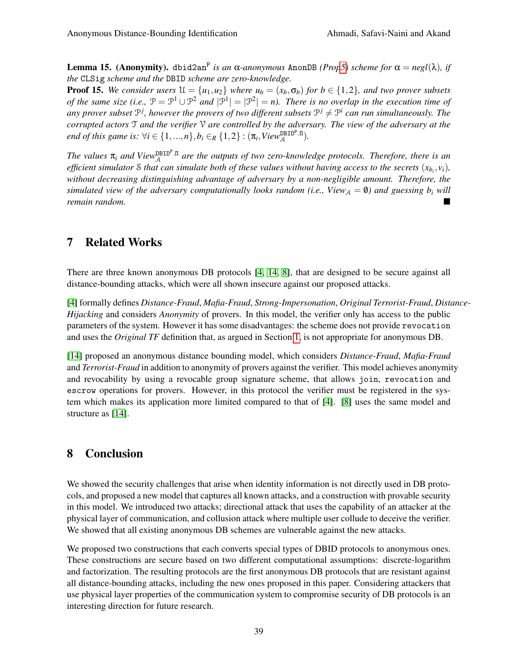**Lemma 15.** (Anonymity). dbid2an<sup>P</sup> is an α-anonymous AnonDB (Pro[p5\)](#page-23-2) scheme for  $\alpha = negl(\lambda)$ , if *the* CLSig *scheme and the* DBID *scheme are zero-knowledge.*

**Proof 15.** We consider users  $\mathcal{U} = \{u_1, u_2\}$  where  $u_b = (x_b, \sigma_b)$  for  $b \in \{1, 2\}$ , and two prover subsets of the same size (i.e.,  $\mathcal{P} = \mathcal{P}^1 \cup \mathcal{P}^2$  and  $|\mathcal{P}^1| = |\mathcal{P}^2| = n$ ). There is no overlap in the execution time of any prover subset  $P^j$ , however the provers of two different subsets  $P^j \neq P^i$  can run simultaneously. The *corrupted actors* T *and the verifier* V *are controlled by the adversary. The view of the adversary at the end of this game is:*  $\forall i \in \{1,...,n\}, b_i \in_R \{1,2\} : (\pi_i, View_{\mathcal{A}}^{\text{DBID}^p.\Pi}).$ 

The values  $\pi_i$  and View<sup>DBIDP</sup>.<sup> $\pi$ </sup> are the outputs of two zero-knowledge protocols. Therefore, there is an *efficient simulator* S *that can simulate both of these values without having access to the secrets* (*xb<sup>i</sup>* , *vi*)*, without decreasing distinguishing advantage of adversary by a non-negligible amount. Therefore, the simulated view of the adversary computationally looks random (i.e., View* $_A = 0$ *) and guessing b<sub>i</sub> will remain random.*

## <span id="page-38-0"></span>7 Related Works

There are three known anonymous DB protocols [\[4,](#page-39-8) [14,](#page-39-9) [8\]](#page-39-10), that are designed to be secure against all distance-bounding attacks, which were all shown insecure against our proposed attacks.

[\[4\]](#page-39-8) formally defines *Distance-Fraud*, *Mafia-Fraud*, *Strong-Impersonation*, *Original Terrorist-Fraud*, *Distance-Hijacking* and considers *Anonymity* of provers. In this model, the verifier only has access to the public parameters of the system. However it has some disadvantages: the scheme does not provide revocation and uses the *Original TF* definition that, as argued in Section [1,](#page-0-0) is not appropriate for anonymous DB.

[\[14\]](#page-39-9) proposed an anonymous distance bounding model, which considers *Distance-Fraud*, *Mafia-Fraud* and *Terrorist-Fraud* in addition to anonymity of provers against the verifier. This model achieves anonymity and revocability by using a revocable group signature scheme, that allows join, revocation and escrow operations for provers. However, in this protocol the verifier must be registered in the system which makes its application more limited compared to that of [\[4\]](#page-39-8). [\[8\]](#page-39-10) uses the same model and structure as [\[14\]](#page-39-9).

# <span id="page-38-1"></span>8 Conclusion

We showed the security challenges that arise when identity information is not directly used in DB protocols, and proposed a new model that captures all known attacks, and a construction with provable security in this model. We introduced two attacks; directional attack that uses the capability of an attacker at the physical layer of communication, and collusion attack where multiple user collude to deceive the verifier. We showed that all existing anonymous DB schemes are vulnerable against the new attacks.

We proposed two constructions that each converts special types of DBID protocols to anonymous ones. These constructions are secure based on two different computational assumptions: discrete-logarithm and factorization. The resulting protocols are the first anonymous DB protocols that are resistant against all distance-bounding attacks, including the new ones proposed in this paper. Considering attackers that use physical layer properties of the communication system to compromise security of DB protocols is an interesting direction for future research.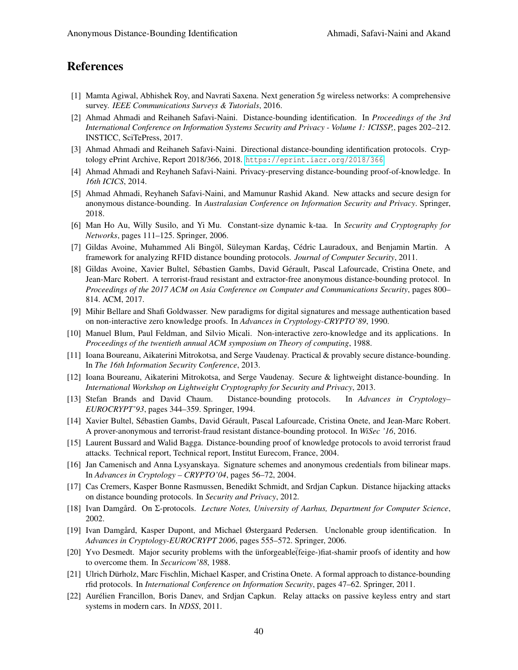## References

- <span id="page-39-11"></span>[1] Mamta Agiwal, Abhishek Roy, and Navrati Saxena. Next generation 5g wireless networks: A comprehensive survey. *IEEE Communications Surveys & Tutorials*, 2016.
- <span id="page-39-13"></span>[2] Ahmad Ahmadi and Reihaneh Safavi-Naini. Distance-bounding identification. In *Proceedings of the 3rd International Conference on Information Systems Security and Privacy - Volume 1: ICISSP,*, pages 202–212. INSTICC, SciTePress, 2017.
- <span id="page-39-14"></span>[3] Ahmad Ahmadi and Reihaneh Safavi-Naini. Directional distance-bounding identification protocols. Cryptology ePrint Archive, Report 2018/366, 2018. <https://eprint.iacr.org/2018/366>.
- <span id="page-39-8"></span>[4] Ahmad Ahmadi and Reyhaneh Safavi-Naini. Privacy-preserving distance-bounding proof-of-knowledge. In *16th ICICS*, 2014.
- <span id="page-39-15"></span>[5] Ahmad Ahmadi, Reyhaneh Safavi-Naini, and Mamunur Rashid Akand. New attacks and secure design for anonymous distance-bounding. In *Australasian Conference on Information Security and Privacy*. Springer, 2018.
- <span id="page-39-18"></span>[6] Man Ho Au, Willy Susilo, and Yi Mu. Constant-size dynamic k-taa. In *Security and Cryptography for Networks*, pages 111–125. Springer, 2006.
- <span id="page-39-5"></span>[7] Gildas Avoine, Muhammed Ali Bingöl, Süleyman Kardaş, Cédric Lauradoux, and Benjamin Martin. A framework for analyzing RFID distance bounding protocols. *Journal of Computer Security*, 2011.
- <span id="page-39-10"></span>[8] Gildas Avoine, Xavier Bultel, Sébastien Gambs, David Gérault, Pascal Lafourcade, Cristina Onete, and Jean-Marc Robert. A terrorist-fraud resistant and extractor-free anonymous distance-bounding protocol. In *Proceedings of the 2017 ACM on Asia Conference on Computer and Communications Security*, pages 800– 814. ACM, 2017.
- <span id="page-39-21"></span>[9] Mihir Bellare and Shafi Goldwasser. New paradigms for digital signatures and message authentication based on non-interactive zero knowledge proofs. In *Advances in Cryptology-CRYPTO'89*, 1990.
- <span id="page-39-20"></span>[10] Manuel Blum, Paul Feldman, and Silvio Micali. Non-interactive zero-knowledge and its applications. In *Proceedings of the twentieth annual ACM symposium on Theory of computing*, 1988.
- <span id="page-39-7"></span>[11] Ioana Boureanu, Aikaterini Mitrokotsa, and Serge Vaudenay. Practical & provably secure distance-bounding. In *The 16th Information Security Conference*, 2013.
- <span id="page-39-1"></span>[12] Ioana Boureanu, Aikaterini Mitrokotsa, and Serge Vaudenay. Secure & lightweight distance-bounding. In *International Workshop on Lightweight Cryptography for Security and Privacy*, 2013.
- <span id="page-39-4"></span>[13] Stefan Brands and David Chaum. Distance-bounding protocols. In *Advances in Cryptology– EUROCRYPT'93*, pages 344–359. Springer, 1994.
- <span id="page-39-9"></span>[14] Xavier Bultel, Sébastien Gambs, David Gérault, Pascal Lafourcade, Cristina Onete, and Jean-Marc Robert. A prover-anonymous and terrorist-fraud resistant distance-bounding protocol. In *WiSec '16*, 2016.
- <span id="page-39-19"></span>[15] Laurent Bussard and Walid Bagga. Distance-bounding proof of knowledge protocols to avoid terrorist fraud attacks. Technical report, Technical report, Institut Eurecom, France, 2004.
- <span id="page-39-17"></span>[16] Jan Camenisch and Anna Lysyanskaya. Signature schemes and anonymous credentials from bilinear maps. In *Advances in Cryptology – CRYPTO'04*, pages 56–72, 2004.
- <span id="page-39-3"></span>[17] Cas Cremers, Kasper Bonne Rasmussen, Benedikt Schmidt, and Srdjan Capkun. Distance hijacking attacks on distance bounding protocols. In *Security and Privacy*, 2012.
- <span id="page-39-16"></span>[18] Ivan Damgård. On Σ-protocols. *Lecture Notes, University of Aarhus, Department for Computer Science*, 2002.
- <span id="page-39-12"></span>[19] Ivan Damgård, Kasper Dupont, and Michael Østergaard Pedersen. Unclonable group identification. In *Advances in Cryptology-EUROCRYPT 2006*, pages 555–572. Springer, 2006.
- <span id="page-39-0"></span>[20] Yvo Desmedt. Major security problems with the ünforgeable (feige-)fiat-shamir proofs of identity and how to overcome them. In *Securicom'88*, 1988.
- <span id="page-39-6"></span>[21] Ulrich Dürholz, Marc Fischlin, Michael Kasper, and Cristina Onete. A formal approach to distance-bounding rfid protocols. In *International Conference on Information Security*, pages 47–62. Springer, 2011.
- <span id="page-39-2"></span>[22] Aurélien Francillon, Boris Danev, and Srdjan Capkun. Relay attacks on passive keyless entry and start systems in modern cars. In *NDSS*, 2011.